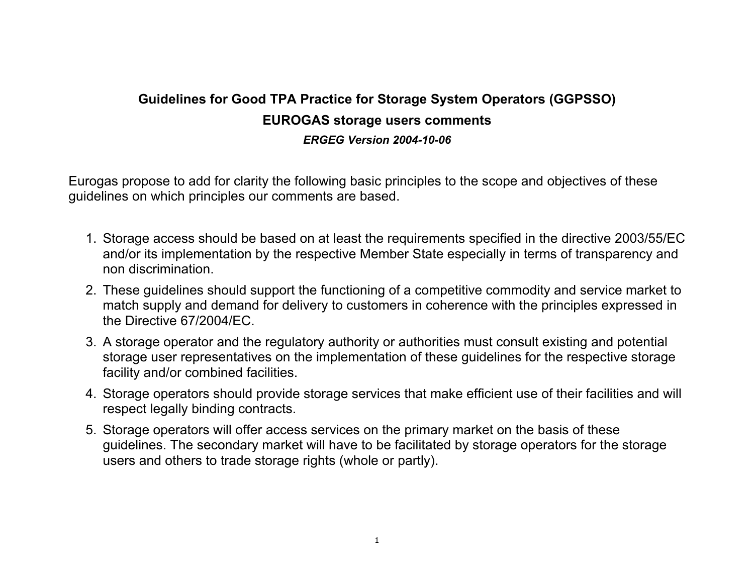## **Guidelines for Good TPA Practice for Storage System Operators (GGPSSO) EUROGAS storage users comments**  *ERGEG Version 2004-10-06*

Eurogas propose to add for clarity the following basic principles to the scope and objectives of these guidelines on which principles our comments are based.

- 1. Storage access should be based on at least the requirements specified in the directive 2003/55/EC and/or its implementation by the respective Member State especially in terms of transparency and non discrimination.
- 2. These guidelines should support the functioning of a competitive commodity and service market to match supply and demand for delivery to customers in coherence with the principles expressed in the Directive 67/2004/EC.
- 3. A storage operator and the regulatory authority or authorities must consult existing and potential storage user representatives on the implementation of these guidelines for the respective storage facility and/or combined facilities.
- 4. Storage operators should provide storage services that make efficient use of their facilities and will respect legally binding contracts.
- 5. Storage operators will offer access services on the primary market on the basis of these guidelines. The secondary market will have to be facilitated by storage operators for the storage users and others to trade storage rights (whole or partly).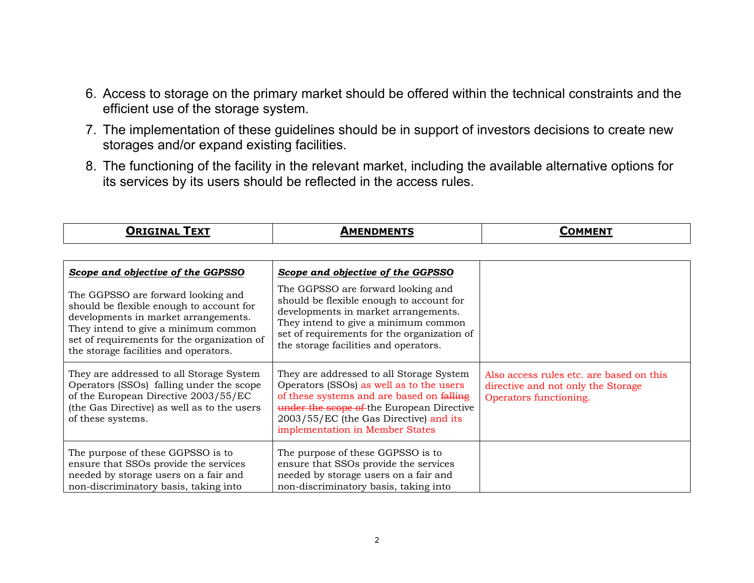- 6. Access to storage on the primary market should be offered within the technical constraints and the efficient use of the storage system.
- 7. The implementation of these guidelines should be in support of investors decisions to create new storages and/or expand existing facilities.
- 8. The functioning of the facility in the relevant market, including the available alternative options for its services by its users should be reflected in the access rules.

| <b>ORIGINAL TEXT</b>                                                                                                                                                                                                                                   | <b>AMENDMENTS</b>                                                                                                                                                                                                                                           | <b>COMMENT</b>                                                                                           |
|--------------------------------------------------------------------------------------------------------------------------------------------------------------------------------------------------------------------------------------------------------|-------------------------------------------------------------------------------------------------------------------------------------------------------------------------------------------------------------------------------------------------------------|----------------------------------------------------------------------------------------------------------|
|                                                                                                                                                                                                                                                        |                                                                                                                                                                                                                                                             |                                                                                                          |
| Scope and objective of the GGPSSO                                                                                                                                                                                                                      | Scope and objective of the GGPSSO                                                                                                                                                                                                                           |                                                                                                          |
| The GGPSSO are forward looking and<br>should be flexible enough to account for<br>developments in market arrangements.<br>They intend to give a minimum common<br>set of requirements for the organization of<br>the storage facilities and operators. | The GGPSSO are forward looking and<br>should be flexible enough to account for<br>developments in market arrangements.<br>They intend to give a minimum common<br>set of requirements for the organization of<br>the storage facilities and operators.      |                                                                                                          |
| They are addressed to all Storage System<br>Operators (SSOs) falling under the scope<br>of the European Directive 2003/55/EC<br>(the Gas Directive) as well as to the users<br>of these systems.                                                       | They are addressed to all Storage System<br>Operators (SSOs) as well as to the users<br>of these systems and are based on falling<br>under the scope of the European Directive<br>2003/55/EC (the Gas Directive) and its<br>implementation in Member States | Also access rules etc. are based on this<br>directive and not only the Storage<br>Operators functioning. |
| The purpose of these GGPSSO is to<br>ensure that SSOs provide the services<br>needed by storage users on a fair and<br>non-discriminatory basis, taking into                                                                                           | The purpose of these GGPSSO is to<br>ensure that SSOs provide the services<br>needed by storage users on a fair and<br>non-discriminatory basis, taking into                                                                                                |                                                                                                          |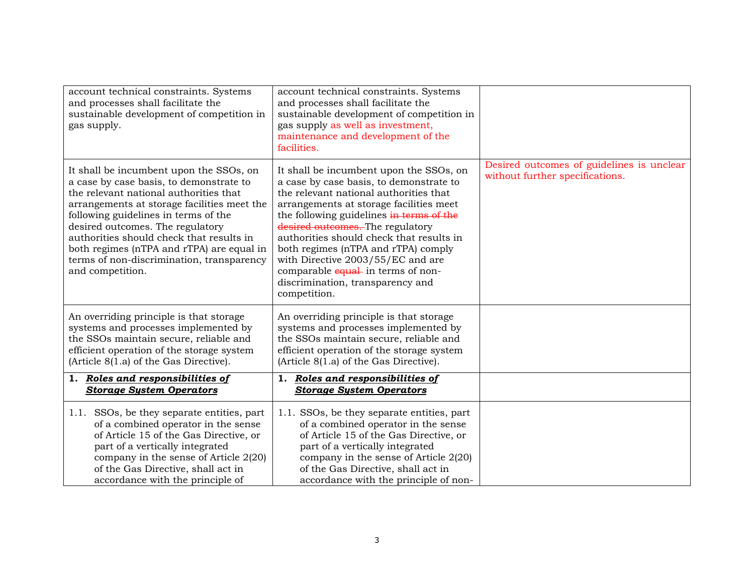| account technical constraints. Systems<br>and processes shall facilitate the<br>sustainable development of competition in<br>gas supply.                                                                                                                                                                                                                                                                          | account technical constraints. Systems<br>and processes shall facilitate the<br>sustainable development of competition in<br>gas supply as well as investment,<br>maintenance and development of the<br>facilities.                                                                                                                                                                                                                                                       |                                                                              |
|-------------------------------------------------------------------------------------------------------------------------------------------------------------------------------------------------------------------------------------------------------------------------------------------------------------------------------------------------------------------------------------------------------------------|---------------------------------------------------------------------------------------------------------------------------------------------------------------------------------------------------------------------------------------------------------------------------------------------------------------------------------------------------------------------------------------------------------------------------------------------------------------------------|------------------------------------------------------------------------------|
| It shall be incumbent upon the SSOs, on<br>a case by case basis, to demonstrate to<br>the relevant national authorities that<br>arrangements at storage facilities meet the<br>following guidelines in terms of the<br>desired outcomes. The regulatory<br>authorities should check that results in<br>both regimes (nTPA and rTPA) are equal in<br>terms of non-discrimination, transparency<br>and competition. | It shall be incumbent upon the SSOs, on<br>a case by case basis, to demonstrate to<br>the relevant national authorities that<br>arrangements at storage facilities meet<br>the following guidelines in terms of the<br>desired outcomes. The regulatory<br>authorities should check that results in<br>both regimes (nTPA and rTPA) comply<br>with Directive 2003/55/EC and are<br>comparable equal- in terms of non-<br>discrimination, transparency and<br>competition. | Desired outcomes of guidelines is unclear<br>without further specifications. |
| An overriding principle is that storage<br>systems and processes implemented by<br>the SSOs maintain secure, reliable and<br>efficient operation of the storage system<br>(Article 8(1.a) of the Gas Directive).                                                                                                                                                                                                  | An overriding principle is that storage<br>systems and processes implemented by<br>the SSOs maintain secure, reliable and<br>efficient operation of the storage system<br>(Article 8(1.a) of the Gas Directive).                                                                                                                                                                                                                                                          |                                                                              |
| 1. Roles and responsibilities of<br><b>Storage System Operators</b>                                                                                                                                                                                                                                                                                                                                               | 1. Roles and responsibilities of<br><b>Storage System Operators</b>                                                                                                                                                                                                                                                                                                                                                                                                       |                                                                              |
| 1.1. SSOs, be they separate entities, part<br>of a combined operator in the sense<br>of Article 15 of the Gas Directive, or<br>part of a vertically integrated<br>company in the sense of Article 2(20)<br>of the Gas Directive, shall act in<br>accordance with the principle of                                                                                                                                 | 1.1. SSOs, be they separate entities, part<br>of a combined operator in the sense<br>of Article 15 of the Gas Directive, or<br>part of a vertically integrated<br>company in the sense of Article 2(20)<br>of the Gas Directive, shall act in<br>accordance with the principle of non-                                                                                                                                                                                    |                                                                              |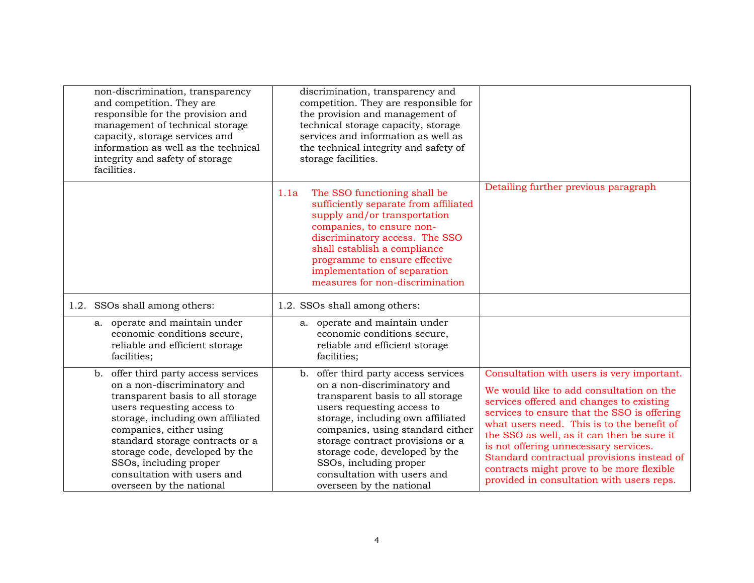| non-discrimination, transparency<br>and competition. They are<br>responsible for the provision and<br>management of technical storage<br>capacity, storage services and<br>information as well as the technical<br>integrity and safety of storage<br>facilities.                                                                                                  | discrimination, transparency and<br>competition. They are responsible for<br>the provision and management of<br>technical storage capacity, storage<br>services and information as well as<br>the technical integrity and safety of<br>storage facilities.                                                                                                                   |                                                                                                                                                                                                                                                                                                                                                                                                                                                                |
|--------------------------------------------------------------------------------------------------------------------------------------------------------------------------------------------------------------------------------------------------------------------------------------------------------------------------------------------------------------------|------------------------------------------------------------------------------------------------------------------------------------------------------------------------------------------------------------------------------------------------------------------------------------------------------------------------------------------------------------------------------|----------------------------------------------------------------------------------------------------------------------------------------------------------------------------------------------------------------------------------------------------------------------------------------------------------------------------------------------------------------------------------------------------------------------------------------------------------------|
|                                                                                                                                                                                                                                                                                                                                                                    | The SSO functioning shall be<br>1.1a<br>sufficiently separate from affiliated<br>supply and/or transportation<br>companies, to ensure non-<br>discriminatory access. The SSO<br>shall establish a compliance<br>programme to ensure effective<br>implementation of separation<br>measures for non-discrimination                                                             | Detailing further previous paragraph                                                                                                                                                                                                                                                                                                                                                                                                                           |
| 1.2. SSOs shall among others:                                                                                                                                                                                                                                                                                                                                      | 1.2. SSOs shall among others:                                                                                                                                                                                                                                                                                                                                                |                                                                                                                                                                                                                                                                                                                                                                                                                                                                |
| a. operate and maintain under<br>economic conditions secure,<br>reliable and efficient storage<br>facilities;                                                                                                                                                                                                                                                      | a. operate and maintain under<br>economic conditions secure,<br>reliable and efficient storage<br>facilities;                                                                                                                                                                                                                                                                |                                                                                                                                                                                                                                                                                                                                                                                                                                                                |
| offer third party access services<br>b.<br>on a non-discriminatory and<br>transparent basis to all storage<br>users requesting access to<br>storage, including own affiliated<br>companies, either using<br>standard storage contracts or a<br>storage code, developed by the<br>SSOs, including proper<br>consultation with users and<br>overseen by the national | offer third party access services<br>b.<br>on a non-discriminatory and<br>transparent basis to all storage<br>users requesting access to<br>storage, including own affiliated<br>companies, using standard either<br>storage contract provisions or a<br>storage code, developed by the<br>SSOs, including proper<br>consultation with users and<br>overseen by the national | Consultation with users is very important.<br>We would like to add consultation on the<br>services offered and changes to existing<br>services to ensure that the SSO is offering<br>what users need. This is to the benefit of<br>the SSO as well, as it can then be sure it<br>is not offering unnecessary services.<br>Standard contractual provisions instead of<br>contracts might prove to be more flexible<br>provided in consultation with users reps. |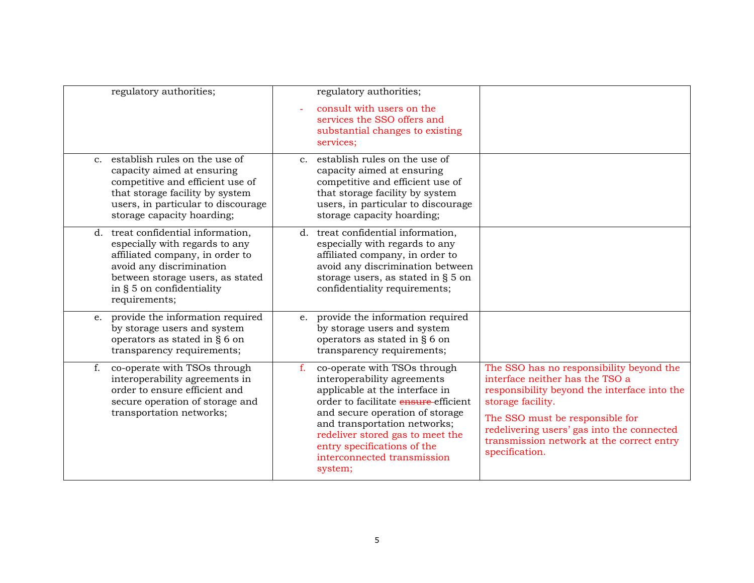| regulatory authorities;                                                                                                                                                                                                | regulatory authorities;                                                                                                                                                                                                                                                                                                               |                                                                                                                                                                                                                                                                                                  |
|------------------------------------------------------------------------------------------------------------------------------------------------------------------------------------------------------------------------|---------------------------------------------------------------------------------------------------------------------------------------------------------------------------------------------------------------------------------------------------------------------------------------------------------------------------------------|--------------------------------------------------------------------------------------------------------------------------------------------------------------------------------------------------------------------------------------------------------------------------------------------------|
|                                                                                                                                                                                                                        | consult with users on the<br>services the SSO offers and<br>substantial changes to existing<br>services;                                                                                                                                                                                                                              |                                                                                                                                                                                                                                                                                                  |
| establish rules on the use of<br>$C_{\rm{r}}$<br>capacity aimed at ensuring<br>competitive and efficient use of<br>that storage facility by system<br>users, in particular to discourage<br>storage capacity hoarding; | c. establish rules on the use of<br>capacity aimed at ensuring<br>competitive and efficient use of<br>that storage facility by system<br>users, in particular to discourage<br>storage capacity hoarding;                                                                                                                             |                                                                                                                                                                                                                                                                                                  |
| d. treat confidential information,<br>especially with regards to any<br>affiliated company, in order to<br>avoid any discrimination<br>between storage users, as stated<br>in § 5 on confidentiality<br>requirements;  | d. treat confidential information,<br>especially with regards to any<br>affiliated company, in order to<br>avoid any discrimination between<br>storage users, as stated in § 5 on<br>confidentiality requirements;                                                                                                                    |                                                                                                                                                                                                                                                                                                  |
| e. provide the information required<br>by storage users and system<br>operators as stated in § 6 on<br>transparency requirements;                                                                                      | e. provide the information required<br>by storage users and system<br>operators as stated in § 6 on<br>transparency requirements;                                                                                                                                                                                                     |                                                                                                                                                                                                                                                                                                  |
| co-operate with TSOs through<br>f.<br>interoperability agreements in<br>order to ensure efficient and<br>secure operation of storage and<br>transportation networks;                                                   | co-operate with TSOs through<br>$f_{\rm{r}}$<br>interoperability agreements<br>applicable at the interface in<br>order to facilitate ensure efficient<br>and secure operation of storage<br>and transportation networks;<br>redeliver stored gas to meet the<br>entry specifications of the<br>interconnected transmission<br>system; | The SSO has no responsibility beyond the<br>interface neither has the TSO a<br>responsibility beyond the interface into the<br>storage facility.<br>The SSO must be responsible for<br>redelivering users' gas into the connected<br>transmission network at the correct entry<br>specification. |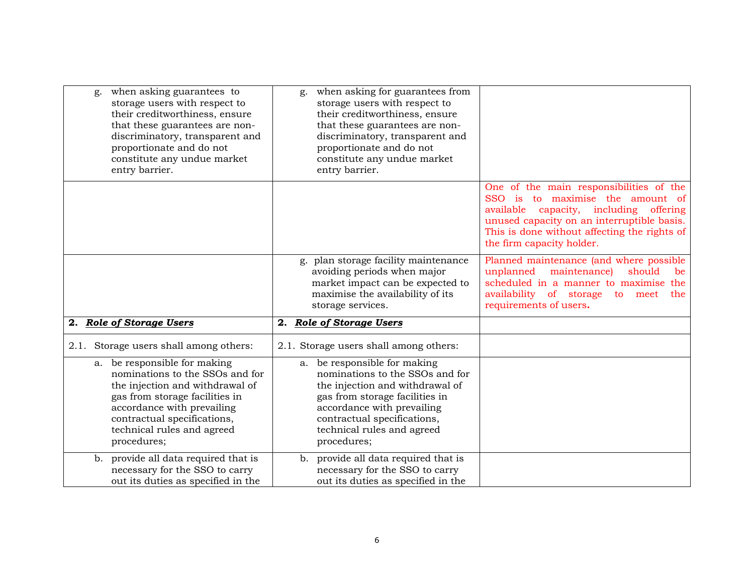| when asking guarantees to<br>g.<br>storage users with respect to<br>their creditworthiness, ensure<br>that these guarantees are non-<br>discriminatory, transparent and<br>proportionate and do not<br>constitute any undue market<br>entry barrier. | when asking for guarantees from<br>g.<br>storage users with respect to<br>their creditworthiness, ensure<br>that these guarantees are non-<br>discriminatory, transparent and<br>proportionate and do not<br>constitute any undue market<br>entry barrier. |                                                                                                                                                                                                                                                     |
|------------------------------------------------------------------------------------------------------------------------------------------------------------------------------------------------------------------------------------------------------|------------------------------------------------------------------------------------------------------------------------------------------------------------------------------------------------------------------------------------------------------------|-----------------------------------------------------------------------------------------------------------------------------------------------------------------------------------------------------------------------------------------------------|
|                                                                                                                                                                                                                                                      |                                                                                                                                                                                                                                                            | One of the main responsibilities of the<br>SSO is to maximise the amount of<br>available<br>capacity, including offering<br>unused capacity on an interruptible basis.<br>This is done without affecting the rights of<br>the firm capacity holder. |
|                                                                                                                                                                                                                                                      | g. plan storage facility maintenance<br>avoiding periods when major<br>market impact can be expected to<br>maximise the availability of its<br>storage services.                                                                                           | Planned maintenance (and where possible<br>unplanned maintenance)<br>should<br>be<br>scheduled in a manner to maximise the<br>availability of storage to meet<br>the<br>requirements of users.                                                      |
| 2. Role of Storage Users                                                                                                                                                                                                                             | 2. Role of Storage Users                                                                                                                                                                                                                                   |                                                                                                                                                                                                                                                     |
| 2.1. Storage users shall among others:                                                                                                                                                                                                               | 2.1. Storage users shall among others:                                                                                                                                                                                                                     |                                                                                                                                                                                                                                                     |
| a. be responsible for making<br>nominations to the SSOs and for<br>the injection and withdrawal of<br>gas from storage facilities in<br>accordance with prevailing<br>contractual specifications,<br>technical rules and agreed<br>procedures;       | a. be responsible for making<br>nominations to the SSOs and for<br>the injection and withdrawal of<br>gas from storage facilities in<br>accordance with prevailing<br>contractual specifications,<br>technical rules and agreed<br>procedures;             |                                                                                                                                                                                                                                                     |
| provide all data required that is<br>b.<br>necessary for the SSO to carry<br>out its duties as specified in the                                                                                                                                      | b. provide all data required that is<br>necessary for the SSO to carry<br>out its duties as specified in the                                                                                                                                               |                                                                                                                                                                                                                                                     |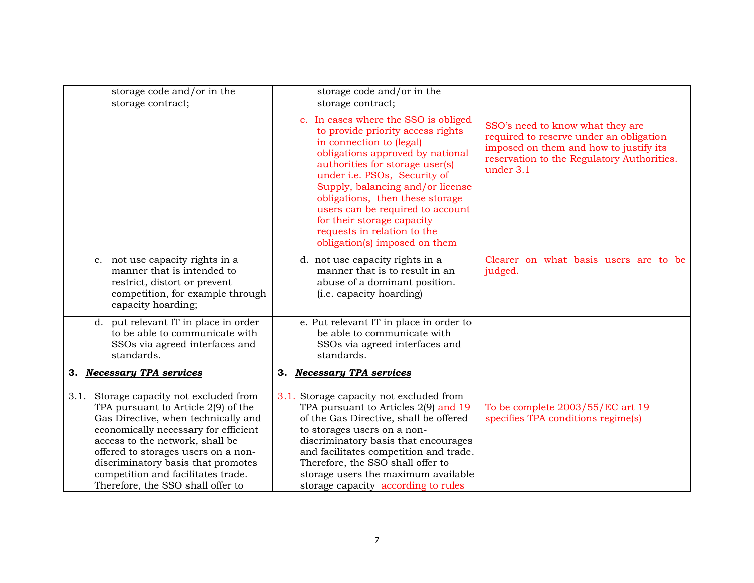|    | storage code and/or in the<br>storage contract;                                                                                                                                                                                                                                                                                                          | storage code and/or in the<br>storage contract;                                                                                                                                                                                                                                                                                                                                                                       |                                                                                                                                                                                  |
|----|----------------------------------------------------------------------------------------------------------------------------------------------------------------------------------------------------------------------------------------------------------------------------------------------------------------------------------------------------------|-----------------------------------------------------------------------------------------------------------------------------------------------------------------------------------------------------------------------------------------------------------------------------------------------------------------------------------------------------------------------------------------------------------------------|----------------------------------------------------------------------------------------------------------------------------------------------------------------------------------|
|    |                                                                                                                                                                                                                                                                                                                                                          | c. In cases where the SSO is obliged<br>to provide priority access rights<br>in connection to (legal)<br>obligations approved by national<br>authorities for storage user(s)<br>under i.e. PSOs, Security of<br>Supply, balancing and/or license<br>obligations, then these storage<br>users can be required to account<br>for their storage capacity<br>requests in relation to the<br>obligation(s) imposed on them | SSO's need to know what they are<br>required to reserve under an obligation<br>imposed on them and how to justify its<br>reservation to the Regulatory Authorities.<br>under 3.1 |
|    | c. not use capacity rights in a<br>manner that is intended to<br>restrict, distort or prevent<br>competition, for example through<br>capacity hoarding;                                                                                                                                                                                                  | d. not use capacity rights in a<br>manner that is to result in an<br>abuse of a dominant position.<br>( <i>i.e.</i> capacity hoarding)                                                                                                                                                                                                                                                                                | Clearer on what basis users are to be<br>judged.                                                                                                                                 |
|    | d. put relevant IT in place in order<br>to be able to communicate with<br>SSOs via agreed interfaces and<br>standards.                                                                                                                                                                                                                                   | e. Put relevant IT in place in order to<br>be able to communicate with<br>SSOs via agreed interfaces and<br>standards.                                                                                                                                                                                                                                                                                                |                                                                                                                                                                                  |
| З. | <b>Necessary TPA services</b>                                                                                                                                                                                                                                                                                                                            | 3. Necessary TPA services                                                                                                                                                                                                                                                                                                                                                                                             |                                                                                                                                                                                  |
|    | 3.1. Storage capacity not excluded from<br>TPA pursuant to Article 2(9) of the<br>Gas Directive, when technically and<br>economically necessary for efficient<br>access to the network, shall be<br>offered to storages users on a non-<br>discriminatory basis that promotes<br>competition and facilitates trade.<br>Therefore, the SSO shall offer to | 3.1. Storage capacity not excluded from<br>TPA pursuant to Articles 2(9) and 19<br>of the Gas Directive, shall be offered<br>to storages users on a non-<br>discriminatory basis that encourages<br>and facilitates competition and trade.<br>Therefore, the SSO shall offer to<br>storage users the maximum available<br>storage capacity according to rules                                                         | To be complete 2003/55/EC art 19<br>specifies TPA conditions regime(s)                                                                                                           |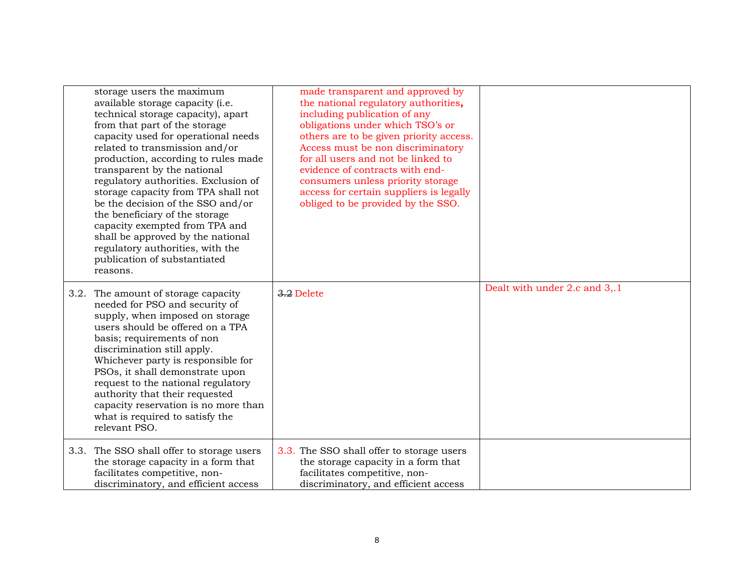| storage users the maximum<br>available storage capacity (i.e.<br>technical storage capacity), apart<br>from that part of the storage<br>capacity used for operational needs<br>related to transmission and/or<br>production, according to rules made<br>transparent by the national<br>regulatory authorities. Exclusion of<br>storage capacity from TPA shall not<br>be the decision of the SSO and/or<br>the beneficiary of the storage<br>capacity exempted from TPA and<br>shall be approved by the national<br>regulatory authorities, with the<br>publication of substantiated<br>reasons. | made transparent and approved by<br>the national regulatory authorities,<br>including publication of any<br>obligations under which TSO's or<br>others are to be given priority access.<br>Access must be non discriminatory<br>for all users and not be linked to<br>evidence of contracts with end-<br>consumers unless priority storage<br>access for certain suppliers is legally<br>obliged to be provided by the SSO. |                               |
|--------------------------------------------------------------------------------------------------------------------------------------------------------------------------------------------------------------------------------------------------------------------------------------------------------------------------------------------------------------------------------------------------------------------------------------------------------------------------------------------------------------------------------------------------------------------------------------------------|-----------------------------------------------------------------------------------------------------------------------------------------------------------------------------------------------------------------------------------------------------------------------------------------------------------------------------------------------------------------------------------------------------------------------------|-------------------------------|
| 3.2. The amount of storage capacity<br>needed for PSO and security of<br>supply, when imposed on storage<br>users should be offered on a TPA<br>basis; requirements of non<br>discrimination still apply.<br>Whichever party is responsible for<br>PSOs, it shall demonstrate upon<br>request to the national regulatory<br>authority that their requested<br>capacity reservation is no more than<br>what is required to satisfy the<br>relevant PSO.                                                                                                                                           | 3.2 Delete                                                                                                                                                                                                                                                                                                                                                                                                                  | Dealt with under 2.c and 3,.1 |
| 3.3. The SSO shall offer to storage users<br>the storage capacity in a form that<br>facilitates competitive, non-<br>discriminatory, and efficient access                                                                                                                                                                                                                                                                                                                                                                                                                                        | 3.3. The SSO shall offer to storage users<br>the storage capacity in a form that<br>facilitates competitive, non-<br>discriminatory, and efficient access                                                                                                                                                                                                                                                                   |                               |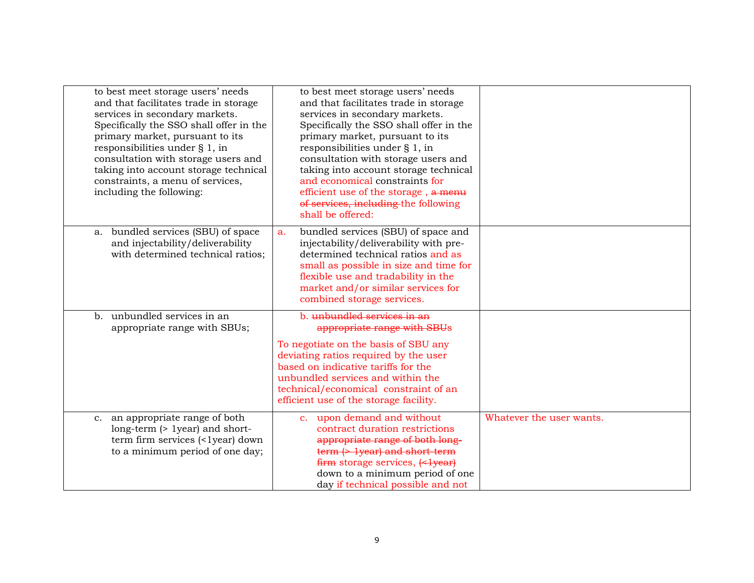| to best meet storage users' needs<br>and that facilitates trade in storage<br>services in secondary markets.<br>Specifically the SSO shall offer in the<br>primary market, pursuant to its<br>responsibilities under § 1, in<br>consultation with storage users and<br>taking into account storage technical<br>constraints, a menu of services,<br>including the following: | to best meet storage users' needs<br>and that facilitates trade in storage<br>services in secondary markets.<br>Specifically the SSO shall offer in the<br>primary market, pursuant to its<br>responsibilities under § 1, in<br>consultation with storage users and<br>taking into account storage technical<br>and economical constraints for<br>efficient use of the storage, a menu<br>of services, including the following<br>shall be offered: |                          |
|------------------------------------------------------------------------------------------------------------------------------------------------------------------------------------------------------------------------------------------------------------------------------------------------------------------------------------------------------------------------------|-----------------------------------------------------------------------------------------------------------------------------------------------------------------------------------------------------------------------------------------------------------------------------------------------------------------------------------------------------------------------------------------------------------------------------------------------------|--------------------------|
| bundled services (SBU) of space<br>a.<br>and injectability/deliverability<br>with determined technical ratios;                                                                                                                                                                                                                                                               | bundled services (SBU) of space and<br>a.<br>injectability/deliverability with pre-<br>determined technical ratios and as<br>small as possible in size and time for<br>flexible use and tradability in the<br>market and/or similar services for<br>combined storage services.                                                                                                                                                                      |                          |
| b. unbundled services in an<br>appropriate range with SBUs;                                                                                                                                                                                                                                                                                                                  | b. unbundled services in an<br>appropriate range with SBUs<br>To negotiate on the basis of SBU any<br>deviating ratios required by the user<br>based on indicative tariffs for the<br>unbundled services and within the<br>technical/economical constraint of an<br>efficient use of the storage facility.                                                                                                                                          |                          |
| c. an appropriate range of both<br>long-term (> 1year) and short-<br>term firm services (<1year) down<br>to a minimum period of one day;                                                                                                                                                                                                                                     | c. upon demand and without<br>contract duration restrictions<br>appropriate range of both long-<br>$term$ $\leftrightarrow$ 1year) and short-term<br>down to a minimum period of one<br>day if technical possible and not                                                                                                                                                                                                                           | Whatever the user wants. |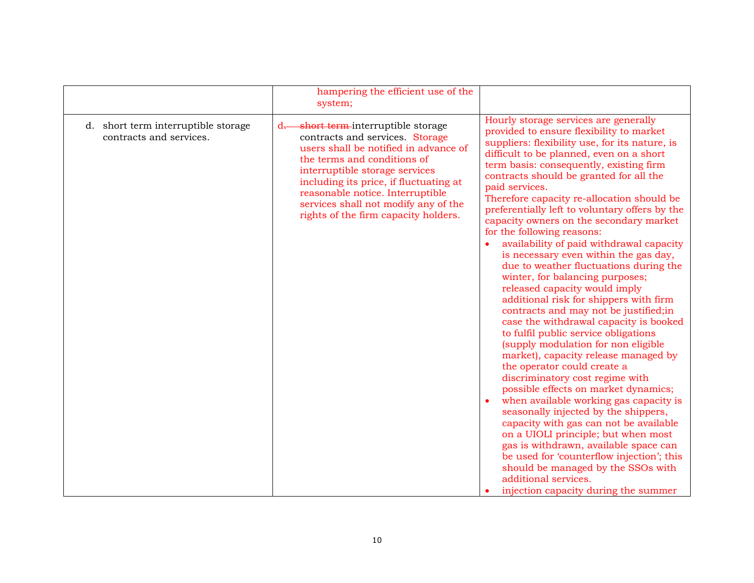|                                                                | hampering the efficient use of the<br>system;                                                                                                                                                                                                                                                                                                       |                                                                                                                                                                                                                                                                                                                                                                                                                                                                                                                                                                                                                                                                                                                                                                                                                                                                                                                                                                                                                                                                                                                                                                                                                                                                                                                                                                                                   |
|----------------------------------------------------------------|-----------------------------------------------------------------------------------------------------------------------------------------------------------------------------------------------------------------------------------------------------------------------------------------------------------------------------------------------------|---------------------------------------------------------------------------------------------------------------------------------------------------------------------------------------------------------------------------------------------------------------------------------------------------------------------------------------------------------------------------------------------------------------------------------------------------------------------------------------------------------------------------------------------------------------------------------------------------------------------------------------------------------------------------------------------------------------------------------------------------------------------------------------------------------------------------------------------------------------------------------------------------------------------------------------------------------------------------------------------------------------------------------------------------------------------------------------------------------------------------------------------------------------------------------------------------------------------------------------------------------------------------------------------------------------------------------------------------------------------------------------------------|
| d. short term interruptible storage<br>contracts and services. | short term-interruptible storage<br>$d-$<br>contracts and services. Storage<br>users shall be notified in advance of<br>the terms and conditions of<br>interruptible storage services<br>including its price, if fluctuating at<br>reasonable notice. Interruptible<br>services shall not modify any of the<br>rights of the firm capacity holders. | Hourly storage services are generally<br>provided to ensure flexibility to market<br>suppliers: flexibility use, for its nature, is<br>difficult to be planned, even on a short<br>term basis: consequently, existing firm<br>contracts should be granted for all the<br>paid services.<br>Therefore capacity re-allocation should be<br>preferentially left to voluntary offers by the<br>capacity owners on the secondary market<br>for the following reasons:<br>availability of paid withdrawal capacity<br>is necessary even within the gas day,<br>due to weather fluctuations during the<br>winter, for balancing purposes;<br>released capacity would imply<br>additional risk for shippers with firm<br>contracts and may not be justified; in<br>case the withdrawal capacity is booked<br>to fulfil public service obligations<br>(supply modulation for non eligible<br>market), capacity release managed by<br>the operator could create a<br>discriminatory cost regime with<br>possible effects on market dynamics;<br>when available working gas capacity is<br>seasonally injected by the shippers,<br>capacity with gas can not be available<br>on a UIOLI principle; but when most<br>gas is withdrawn, available space can<br>be used for 'counterflow injection'; this<br>should be managed by the SSOs with<br>additional services.<br>injection capacity during the summer |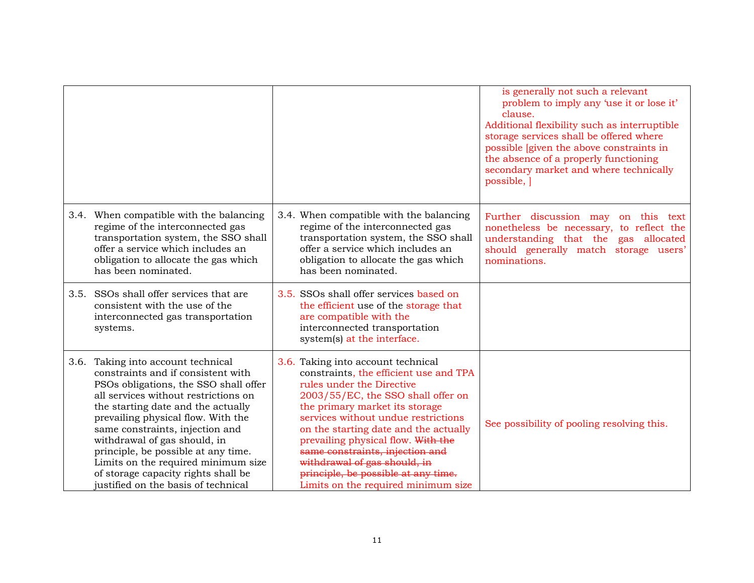|                                                                                                                                                                                                                                                                                                                                                                                                                                                                      |                                                                                                                                                                                                                                                                                                                                                                                                                                                          | is generally not such a relevant<br>problem to imply any 'use it or lose it'<br>clause.<br>Additional flexibility such as interruptible<br>storage services shall be offered where<br>possible <i>s</i> [given the above constraints in<br>the absence of a properly functioning<br>secondary market and where technically<br>possible, |
|----------------------------------------------------------------------------------------------------------------------------------------------------------------------------------------------------------------------------------------------------------------------------------------------------------------------------------------------------------------------------------------------------------------------------------------------------------------------|----------------------------------------------------------------------------------------------------------------------------------------------------------------------------------------------------------------------------------------------------------------------------------------------------------------------------------------------------------------------------------------------------------------------------------------------------------|-----------------------------------------------------------------------------------------------------------------------------------------------------------------------------------------------------------------------------------------------------------------------------------------------------------------------------------------|
| 3.4. When compatible with the balancing<br>regime of the interconnected gas<br>transportation system, the SSO shall<br>offer a service which includes an<br>obligation to allocate the gas which<br>has been nominated.                                                                                                                                                                                                                                              | 3.4. When compatible with the balancing<br>regime of the interconnected gas<br>transportation system, the SSO shall<br>offer a service which includes an<br>obligation to allocate the gas which<br>has been nominated.                                                                                                                                                                                                                                  | Further discussion may on this text<br>nonetheless be necessary, to reflect the<br>understanding that the gas allocated<br>should generally match storage users'<br>nominations.                                                                                                                                                        |
| 3.5. SSOs shall offer services that are<br>consistent with the use of the<br>interconnected gas transportation<br>systems.                                                                                                                                                                                                                                                                                                                                           | 3.5. SSOs shall offer services based on<br>the efficient use of the storage that<br>are compatible with the<br>interconnected transportation<br>system(s) at the interface.                                                                                                                                                                                                                                                                              |                                                                                                                                                                                                                                                                                                                                         |
| 3.6. Taking into account technical<br>constraints and if consistent with<br>PSOs obligations, the SSO shall offer<br>all services without restrictions on<br>the starting date and the actually<br>prevailing physical flow. With the<br>same constraints, injection and<br>withdrawal of gas should, in<br>principle, be possible at any time.<br>Limits on the required minimum size<br>of storage capacity rights shall be<br>justified on the basis of technical | 3.6. Taking into account technical<br>constraints, the efficient use and TPA<br>rules under the Directive<br>2003/55/EC, the SSO shall offer on<br>the primary market its storage<br>services without undue restrictions<br>on the starting date and the actually<br>prevailing physical flow. With the<br>same constraints, injection and<br>withdrawal of gas should, in<br>principle, be possible at any time.<br>Limits on the required minimum size | See possibility of pooling resolving this.                                                                                                                                                                                                                                                                                              |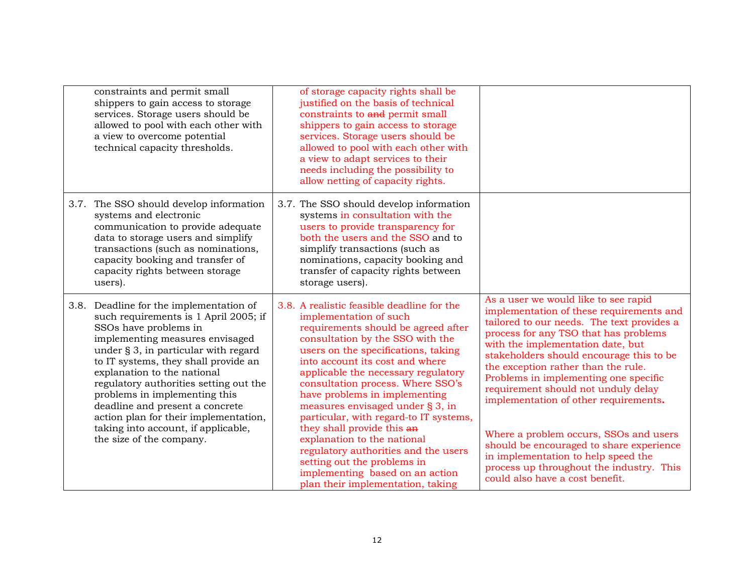| constraints and permit small<br>shippers to gain access to storage<br>services. Storage users should be<br>allowed to pool with each other with<br>a view to overcome potential<br>technical capacity thresholds.                                                                                                                                                                                                                                                                     | of storage capacity rights shall be<br>justified on the basis of technical<br>constraints to and permit small<br>shippers to gain access to storage<br>services. Storage users should be<br>allowed to pool with each other with<br>a view to adapt services to their<br>needs including the possibility to<br>allow netting of capacity rights.                                                                                                                                                                                                                                                                                 |                                                                                                                                                                                                                                                                                                                                                                                                                                                                                                                                                                                                                                      |
|---------------------------------------------------------------------------------------------------------------------------------------------------------------------------------------------------------------------------------------------------------------------------------------------------------------------------------------------------------------------------------------------------------------------------------------------------------------------------------------|----------------------------------------------------------------------------------------------------------------------------------------------------------------------------------------------------------------------------------------------------------------------------------------------------------------------------------------------------------------------------------------------------------------------------------------------------------------------------------------------------------------------------------------------------------------------------------------------------------------------------------|--------------------------------------------------------------------------------------------------------------------------------------------------------------------------------------------------------------------------------------------------------------------------------------------------------------------------------------------------------------------------------------------------------------------------------------------------------------------------------------------------------------------------------------------------------------------------------------------------------------------------------------|
| 3.7. The SSO should develop information<br>systems and electronic<br>communication to provide adequate<br>data to storage users and simplify<br>transactions (such as nominations,<br>capacity booking and transfer of<br>capacity rights between storage<br>users).                                                                                                                                                                                                                  | 3.7. The SSO should develop information<br>systems in consultation with the<br>users to provide transparency for<br>both the users and the SSO and to<br>simplify transactions (such as<br>nominations, capacity booking and<br>transfer of capacity rights between<br>storage users).                                                                                                                                                                                                                                                                                                                                           |                                                                                                                                                                                                                                                                                                                                                                                                                                                                                                                                                                                                                                      |
| 3.8. Deadline for the implementation of<br>such requirements is 1 April 2005; if<br>SSOs have problems in<br>implementing measures envisaged<br>under § 3, in particular with regard<br>to IT systems, they shall provide an<br>explanation to the national<br>regulatory authorities setting out the<br>problems in implementing this<br>deadline and present a concrete<br>action plan for their implementation,<br>taking into account, if applicable,<br>the size of the company. | 3.8. A realistic feasible deadline for the<br>implementation of such<br>requirements should be agreed after<br>consultation by the SSO with the<br>users on the specifications, taking<br>into account its cost and where<br>applicable the necessary regulatory<br>consultation process. Where SSO's<br>have problems in implementing<br>measures envisaged under § 3, in<br>particular, with regard-to IT systems,<br>they shall provide this an<br>explanation to the national<br>regulatory authorities and the users<br>setting out the problems in<br>implementing based on an action<br>plan their implementation, taking | As a user we would like to see rapid<br>implementation of these requirements and<br>tailored to our needs. The text provides a<br>process for any TSO that has problems<br>with the implementation date, but<br>stakeholders should encourage this to be<br>the exception rather than the rule.<br>Problems in implementing one specific<br>requirement should not unduly delay<br>implementation of other requirements.<br>Where a problem occurs, SSOs and users<br>should be encouraged to share experience<br>in implementation to help speed the<br>process up throughout the industry. This<br>could also have a cost benefit. |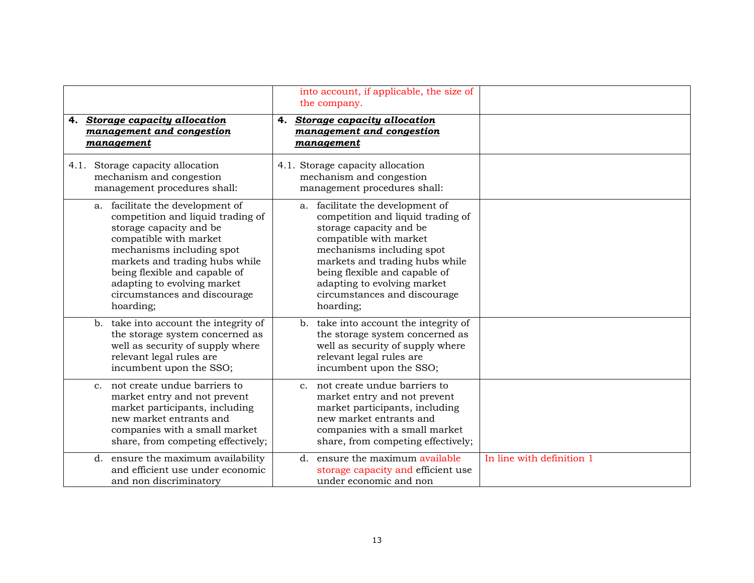|                                                                                                                                                                                                                                                                                                        | into account, if applicable, the size of<br>the company.                                                                                                                                                                                                                                               |                           |
|--------------------------------------------------------------------------------------------------------------------------------------------------------------------------------------------------------------------------------------------------------------------------------------------------------|--------------------------------------------------------------------------------------------------------------------------------------------------------------------------------------------------------------------------------------------------------------------------------------------------------|---------------------------|
| <b>Storage capacity allocation</b><br>4.<br>management and congestion<br>management                                                                                                                                                                                                                    | <b>Storage capacity allocation</b><br>4.<br>management and congestion<br>management                                                                                                                                                                                                                    |                           |
| Storage capacity allocation<br>4.1.<br>mechanism and congestion<br>management procedures shall:                                                                                                                                                                                                        | 4.1. Storage capacity allocation<br>mechanism and congestion<br>management procedures shall:                                                                                                                                                                                                           |                           |
| a. facilitate the development of<br>competition and liquid trading of<br>storage capacity and be<br>compatible with market<br>mechanisms including spot<br>markets and trading hubs while<br>being flexible and capable of<br>adapting to evolving market<br>circumstances and discourage<br>hoarding; | a. facilitate the development of<br>competition and liquid trading of<br>storage capacity and be<br>compatible with market<br>mechanisms including spot<br>markets and trading hubs while<br>being flexible and capable of<br>adapting to evolving market<br>circumstances and discourage<br>hoarding; |                           |
| take into account the integrity of<br>b <sub>1</sub><br>the storage system concerned as<br>well as security of supply where<br>relevant legal rules are<br>incumbent upon the SSO;                                                                                                                     | b. take into account the integrity of<br>the storage system concerned as<br>well as security of supply where<br>relevant legal rules are<br>incumbent upon the SSO;                                                                                                                                    |                           |
| c. not create undue barriers to<br>market entry and not prevent<br>market participants, including<br>new market entrants and<br>companies with a small market<br>share, from competing effectively;                                                                                                    | c. not create undue barriers to<br>market entry and not prevent<br>market participants, including<br>new market entrants and<br>companies with a small market<br>share, from competing effectively;                                                                                                    |                           |
| d. ensure the maximum availability<br>and efficient use under economic<br>and non discriminatory                                                                                                                                                                                                       | d. ensure the maximum available<br>storage capacity and efficient use<br>under economic and non                                                                                                                                                                                                        | In line with definition 1 |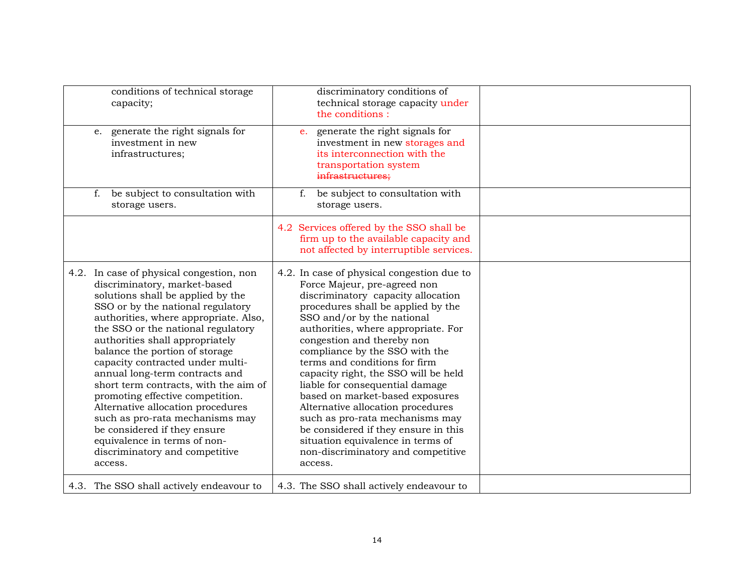| conditions of technical storage<br>capacity;                                                                                                                                                                                                                                                                                                                                                                                                                                                                                                                                                                                                   | discriminatory conditions of<br>technical storage capacity under<br>the conditions:                                                                                                                                                                                                                                                                                                                                                                                                                                                                                                                                                              |  |
|------------------------------------------------------------------------------------------------------------------------------------------------------------------------------------------------------------------------------------------------------------------------------------------------------------------------------------------------------------------------------------------------------------------------------------------------------------------------------------------------------------------------------------------------------------------------------------------------------------------------------------------------|--------------------------------------------------------------------------------------------------------------------------------------------------------------------------------------------------------------------------------------------------------------------------------------------------------------------------------------------------------------------------------------------------------------------------------------------------------------------------------------------------------------------------------------------------------------------------------------------------------------------------------------------------|--|
| e. generate the right signals for<br>investment in new<br>infrastructures;                                                                                                                                                                                                                                                                                                                                                                                                                                                                                                                                                                     | generate the right signals for<br>e.<br>investment in new storages and<br>its interconnection with the<br>transportation system<br>infrastructures;                                                                                                                                                                                                                                                                                                                                                                                                                                                                                              |  |
| be subject to consultation with<br>f.<br>storage users.                                                                                                                                                                                                                                                                                                                                                                                                                                                                                                                                                                                        | be subject to consultation with<br>f.<br>storage users.                                                                                                                                                                                                                                                                                                                                                                                                                                                                                                                                                                                          |  |
|                                                                                                                                                                                                                                                                                                                                                                                                                                                                                                                                                                                                                                                | 4.2 Services offered by the SSO shall be<br>firm up to the available capacity and<br>not affected by interruptible services.                                                                                                                                                                                                                                                                                                                                                                                                                                                                                                                     |  |
| 4.2. In case of physical congestion, non<br>discriminatory, market-based<br>solutions shall be applied by the<br>SSO or by the national regulatory<br>authorities, where appropriate. Also,<br>the SSO or the national regulatory<br>authorities shall appropriately<br>balance the portion of storage<br>capacity contracted under multi-<br>annual long-term contracts and<br>short term contracts, with the aim of<br>promoting effective competition.<br>Alternative allocation procedures<br>such as pro-rata mechanisms may<br>be considered if they ensure<br>equivalence in terms of non-<br>discriminatory and competitive<br>access. | 4.2. In case of physical congestion due to<br>Force Majeur, pre-agreed non<br>discriminatory capacity allocation<br>procedures shall be applied by the<br>SSO and/or by the national<br>authorities, where appropriate. For<br>congestion and thereby non<br>compliance by the SSO with the<br>terms and conditions for firm<br>capacity right, the SSO will be held<br>liable for consequential damage<br>based on market-based exposures<br>Alternative allocation procedures<br>such as pro-rata mechanisms may<br>be considered if they ensure in this<br>situation equivalence in terms of<br>non-discriminatory and competitive<br>access. |  |
| 4.3. The SSO shall actively endeavour to                                                                                                                                                                                                                                                                                                                                                                                                                                                                                                                                                                                                       | 4.3. The SSO shall actively endeavour to                                                                                                                                                                                                                                                                                                                                                                                                                                                                                                                                                                                                         |  |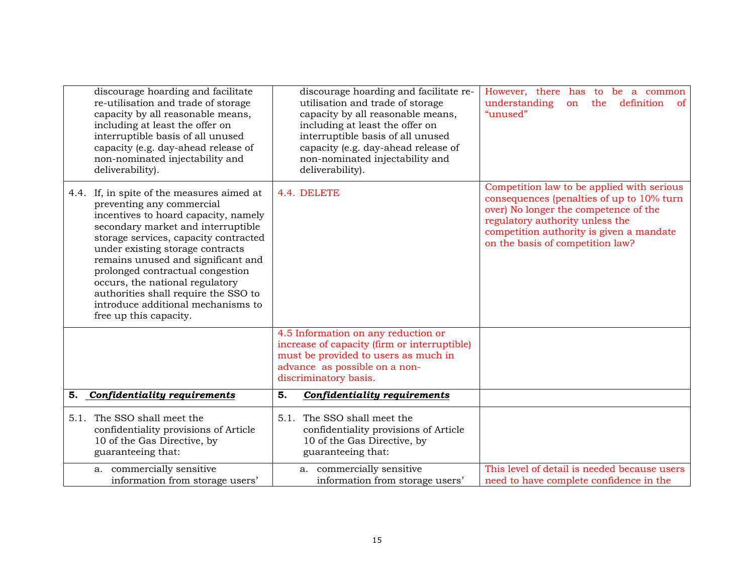|    | discourage hoarding and facilitate<br>re-utilisation and trade of storage<br>capacity by all reasonable means,<br>including at least the offer on<br>interruptible basis of all unused<br>capacity (e.g. day-ahead release of<br>non-nominated injectability and<br>deliverability).                                                                                                                                                                    | discourage hoarding and facilitate re-<br>utilisation and trade of storage<br>capacity by all reasonable means,<br>including at least the offer on<br>interruptible basis of all unused<br>capacity (e.g. day-ahead release of<br>non-nominated injectability and<br>deliverability). | However, there has to be a common<br>understanding<br>definition<br>on<br>the<br>of<br>"unused"                                                                                                                                                     |
|----|---------------------------------------------------------------------------------------------------------------------------------------------------------------------------------------------------------------------------------------------------------------------------------------------------------------------------------------------------------------------------------------------------------------------------------------------------------|---------------------------------------------------------------------------------------------------------------------------------------------------------------------------------------------------------------------------------------------------------------------------------------|-----------------------------------------------------------------------------------------------------------------------------------------------------------------------------------------------------------------------------------------------------|
|    | 4.4. If, in spite of the measures aimed at<br>preventing any commercial<br>incentives to hoard capacity, namely<br>secondary market and interruptible<br>storage services, capacity contracted<br>under existing storage contracts<br>remains unused and significant and<br>prolonged contractual congestion<br>occurs, the national regulatory<br>authorities shall require the SSO to<br>introduce additional mechanisms to<br>free up this capacity. | 4.4. DELETE                                                                                                                                                                                                                                                                           | Competition law to be applied with serious<br>consequences (penalties of up to 10% turn<br>over) No longer the competence of the<br>regulatory authority unless the<br>competition authority is given a mandate<br>on the basis of competition law? |
|    |                                                                                                                                                                                                                                                                                                                                                                                                                                                         | 4.5 Information on any reduction or<br>increase of capacity (firm or interruptible)<br>must be provided to users as much in<br>advance as possible on a non-<br>discriminatory basis.                                                                                                 |                                                                                                                                                                                                                                                     |
| 5. | <b>Confidentiality requirements</b>                                                                                                                                                                                                                                                                                                                                                                                                                     | 5.<br>Confidentiality requirements                                                                                                                                                                                                                                                    |                                                                                                                                                                                                                                                     |
|    | 5.1. The SSO shall meet the<br>confidentiality provisions of Article<br>10 of the Gas Directive, by<br>guaranteeing that:                                                                                                                                                                                                                                                                                                                               | 5.1. The SSO shall meet the<br>confidentiality provisions of Article<br>10 of the Gas Directive, by<br>guaranteeing that:                                                                                                                                                             |                                                                                                                                                                                                                                                     |
|    | a. commercially sensitive<br>information from storage users'                                                                                                                                                                                                                                                                                                                                                                                            | a. commercially sensitive<br>information from storage users'                                                                                                                                                                                                                          | This level of detail is needed because users<br>need to have complete confidence in the                                                                                                                                                             |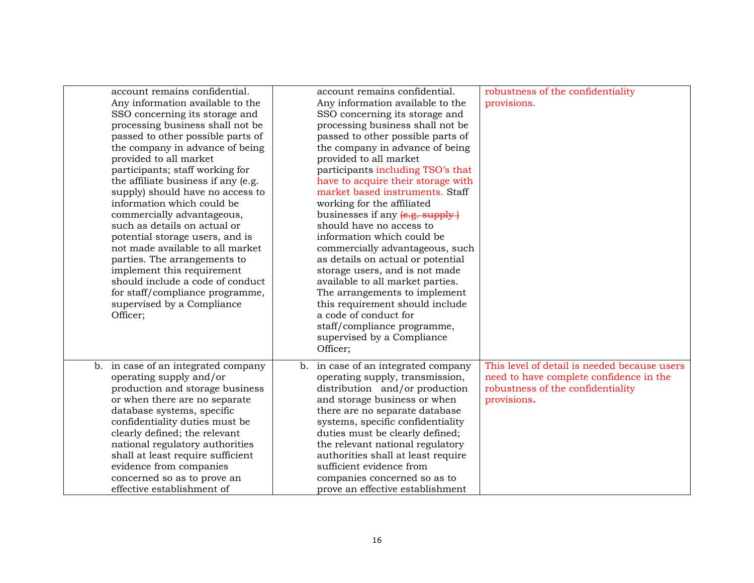| account remains confidential.<br>Any information available to the<br>SSO concerning its storage and<br>processing business shall not be<br>passed to other possible parts of<br>the company in advance of being<br>provided to all market<br>participants; staff working for<br>the affiliate business if any (e.g.<br>supply) should have no access to<br>information which could be<br>commercially advantageous,<br>such as details on actual or<br>potential storage users, and is<br>not made available to all market<br>parties. The arrangements to<br>implement this requirement<br>should include a code of conduct<br>for staff/compliance programme,<br>supervised by a Compliance<br>Officer; | account remains confidential.<br>Any information available to the<br>SSO concerning its storage and<br>processing business shall not be<br>passed to other possible parts of<br>the company in advance of being<br>provided to all market<br>participants including TSO's that<br>have to acquire their storage with<br>market based instruments. Staff<br>working for the affiliated<br>businesses if any (e.g. supply)<br>should have no access to<br>information which could be<br>commercially advantageous, such<br>as details on actual or potential<br>storage users, and is not made<br>available to all market parties.<br>The arrangements to implement<br>this requirement should include<br>a code of conduct for<br>staff/compliance programme,<br>supervised by a Compliance<br>Officer: | robustness of the confidentiality<br>provisions.                                                                                            |
|-----------------------------------------------------------------------------------------------------------------------------------------------------------------------------------------------------------------------------------------------------------------------------------------------------------------------------------------------------------------------------------------------------------------------------------------------------------------------------------------------------------------------------------------------------------------------------------------------------------------------------------------------------------------------------------------------------------|--------------------------------------------------------------------------------------------------------------------------------------------------------------------------------------------------------------------------------------------------------------------------------------------------------------------------------------------------------------------------------------------------------------------------------------------------------------------------------------------------------------------------------------------------------------------------------------------------------------------------------------------------------------------------------------------------------------------------------------------------------------------------------------------------------|---------------------------------------------------------------------------------------------------------------------------------------------|
| b. in case of an integrated company<br>operating supply and/or<br>production and storage business<br>or when there are no separate<br>database systems, specific<br>confidentiality duties must be<br>clearly defined; the relevant<br>national regulatory authorities<br>shall at least require sufficient<br>evidence from companies<br>concerned so as to prove an<br>effective establishment of                                                                                                                                                                                                                                                                                                       | in case of an integrated company<br>$b_{\cdot}$<br>operating supply, transmission,<br>distribution and/or production<br>and storage business or when<br>there are no separate database<br>systems, specific confidentiality<br>duties must be clearly defined;<br>the relevant national regulatory<br>authorities shall at least require<br>sufficient evidence from<br>companies concerned so as to<br>prove an effective establishment                                                                                                                                                                                                                                                                                                                                                               | This level of detail is needed because users<br>need to have complete confidence in the<br>robustness of the confidentiality<br>provisions. |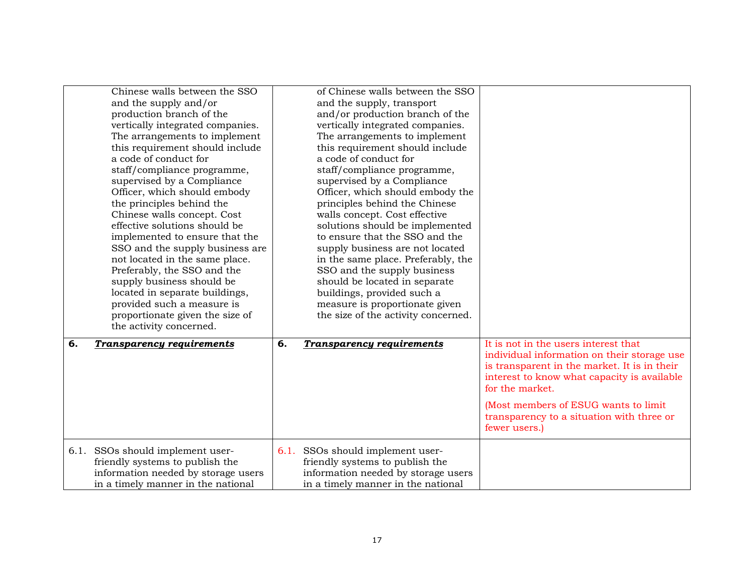|    | Chinese walls between the SSO<br>and the supply and/or<br>production branch of the<br>vertically integrated companies.<br>The arrangements to implement<br>this requirement should include<br>a code of conduct for<br>staff/compliance programme,<br>supervised by a Compliance<br>Officer, which should embody<br>the principles behind the<br>Chinese walls concept. Cost<br>effective solutions should be<br>implemented to ensure that the<br>SSO and the supply business are<br>not located in the same place.<br>Preferably, the SSO and the<br>supply business should be<br>located in separate buildings,<br>provided such a measure is<br>proportionate given the size of<br>the activity concerned. |      | of Chinese walls between the SSO<br>and the supply, transport<br>and/or production branch of the<br>vertically integrated companies.<br>The arrangements to implement<br>this requirement should include<br>a code of conduct for<br>staff/compliance programme,<br>supervised by a Compliance<br>Officer, which should embody the<br>principles behind the Chinese<br>walls concept. Cost effective<br>solutions should be implemented<br>to ensure that the SSO and the<br>supply business are not located<br>in the same place. Preferably, the<br>SSO and the supply business<br>should be located in separate<br>buildings, provided such a<br>measure is proportionate given<br>the size of the activity concerned. |                                                                                                                                                                                                                                                                                                             |
|----|----------------------------------------------------------------------------------------------------------------------------------------------------------------------------------------------------------------------------------------------------------------------------------------------------------------------------------------------------------------------------------------------------------------------------------------------------------------------------------------------------------------------------------------------------------------------------------------------------------------------------------------------------------------------------------------------------------------|------|---------------------------------------------------------------------------------------------------------------------------------------------------------------------------------------------------------------------------------------------------------------------------------------------------------------------------------------------------------------------------------------------------------------------------------------------------------------------------------------------------------------------------------------------------------------------------------------------------------------------------------------------------------------------------------------------------------------------------|-------------------------------------------------------------------------------------------------------------------------------------------------------------------------------------------------------------------------------------------------------------------------------------------------------------|
| 6. | <b>Transparency requirements</b>                                                                                                                                                                                                                                                                                                                                                                                                                                                                                                                                                                                                                                                                               | 6.   | <b>Transparency requirements</b>                                                                                                                                                                                                                                                                                                                                                                                                                                                                                                                                                                                                                                                                                          | It is not in the users interest that<br>individual information on their storage use<br>is transparent in the market. It is in their<br>interest to know what capacity is available<br>for the market.<br>(Most members of ESUG wants to limit<br>transparency to a situation with three or<br>fewer users.) |
|    | 6.1. SSOs should implement user-<br>friendly systems to publish the<br>information needed by storage users<br>in a timely manner in the national                                                                                                                                                                                                                                                                                                                                                                                                                                                                                                                                                               | 6.1. | SSOs should implement user-<br>friendly systems to publish the<br>information needed by storage users<br>in a timely manner in the national                                                                                                                                                                                                                                                                                                                                                                                                                                                                                                                                                                               |                                                                                                                                                                                                                                                                                                             |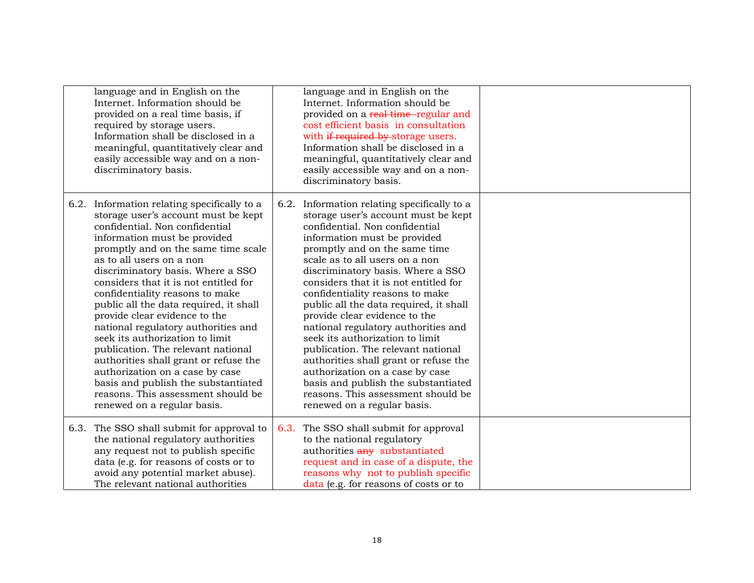| language and in English on the<br>Internet. Information should be<br>provided on a real time basis, if<br>required by storage users.<br>Information shall be disclosed in a<br>meaningful, quantitatively clear and<br>easily accessible way and on a non-<br>discriminatory basis.                                                                                                                                                                                                                                                                                                                                                                                                                                         |      | language and in English on the<br>Internet. Information should be<br>provided on a real time-regular and<br>cost efficient basis in consultation<br>with if required by storage users.<br>Information shall be disclosed in a<br>meaningful, quantitatively clear and<br>easily accessible way and on a non-<br>discriminatory basis.                                                                                                                                                                                                                                                                                                                                                                                  |  |
|-----------------------------------------------------------------------------------------------------------------------------------------------------------------------------------------------------------------------------------------------------------------------------------------------------------------------------------------------------------------------------------------------------------------------------------------------------------------------------------------------------------------------------------------------------------------------------------------------------------------------------------------------------------------------------------------------------------------------------|------|------------------------------------------------------------------------------------------------------------------------------------------------------------------------------------------------------------------------------------------------------------------------------------------------------------------------------------------------------------------------------------------------------------------------------------------------------------------------------------------------------------------------------------------------------------------------------------------------------------------------------------------------------------------------------------------------------------------------|--|
| 6.2. Information relating specifically to a<br>storage user's account must be kept<br>confidential. Non confidential<br>information must be provided<br>promptly and on the same time scale<br>as to all users on a non<br>discriminatory basis. Where a SSO<br>considers that it is not entitled for<br>confidentiality reasons to make<br>public all the data required, it shall<br>provide clear evidence to the<br>national regulatory authorities and<br>seek its authorization to limit<br>publication. The relevant national<br>authorities shall grant or refuse the<br>authorization on a case by case<br>basis and publish the substantiated<br>reasons. This assessment should be<br>renewed on a regular basis. | 6.2. | Information relating specifically to a<br>storage user's account must be kept<br>confidential. Non confidential<br>information must be provided<br>promptly and on the same time<br>scale as to all users on a non<br>discriminatory basis. Where a SSO<br>considers that it is not entitled for<br>confidentiality reasons to make<br>public all the data required, it shall<br>provide clear evidence to the<br>national regulatory authorities and<br>seek its authorization to limit<br>publication. The relevant national<br>authorities shall grant or refuse the<br>authorization on a case by case<br>basis and publish the substantiated<br>reasons. This assessment should be<br>renewed on a regular basis. |  |
| 6.3. The SSO shall submit for approval to<br>the national regulatory authorities<br>any request not to publish specific<br>data (e.g. for reasons of costs or to<br>avoid any potential market abuse).<br>The relevant national authorities                                                                                                                                                                                                                                                                                                                                                                                                                                                                                 | 6.3. | The SSO shall submit for approval<br>to the national regulatory<br>authorities any substantiated<br>request and in case of a dispute, the<br>reasons why not to publish specific<br>data (e.g. for reasons of costs or to                                                                                                                                                                                                                                                                                                                                                                                                                                                                                              |  |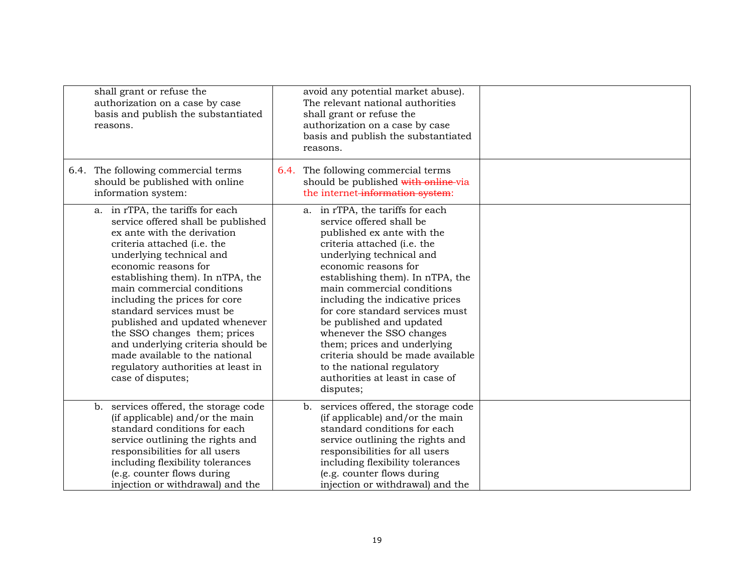| shall grant or refuse the<br>authorization on a case by case<br>basis and publish the substantiated<br>reasons.                                                                                                                                                                                                                                                                                                                                                                                                              | avoid any potential market abuse).<br>The relevant national authorities<br>shall grant or refuse the<br>authorization on a case by case<br>basis and publish the substantiated<br>reasons.                                                                                                                                                                                                                                                                                                                                      |  |
|------------------------------------------------------------------------------------------------------------------------------------------------------------------------------------------------------------------------------------------------------------------------------------------------------------------------------------------------------------------------------------------------------------------------------------------------------------------------------------------------------------------------------|---------------------------------------------------------------------------------------------------------------------------------------------------------------------------------------------------------------------------------------------------------------------------------------------------------------------------------------------------------------------------------------------------------------------------------------------------------------------------------------------------------------------------------|--|
| 6.4. The following commercial terms<br>should be published with online<br>information system:                                                                                                                                                                                                                                                                                                                                                                                                                                | 6.4. The following commercial terms<br>should be published with online via<br>the internet-information system:                                                                                                                                                                                                                                                                                                                                                                                                                  |  |
| a. in rTPA, the tariffs for each<br>service offered shall be published<br>ex ante with the derivation<br>criteria attached (i.e. the<br>underlying technical and<br>economic reasons for<br>establishing them). In nTPA, the<br>main commercial conditions<br>including the prices for core<br>standard services must be<br>published and updated whenever<br>the SSO changes them; prices<br>and underlying criteria should be<br>made available to the national<br>regulatory authorities at least in<br>case of disputes; | a. in rTPA, the tariffs for each<br>service offered shall be<br>published ex ante with the<br>criteria attached (i.e. the<br>underlying technical and<br>economic reasons for<br>establishing them). In nTPA, the<br>main commercial conditions<br>including the indicative prices<br>for core standard services must<br>be published and updated<br>whenever the SSO changes<br>them; prices and underlying<br>criteria should be made available<br>to the national regulatory<br>authorities at least in case of<br>disputes; |  |
| services offered, the storage code<br>b.<br>(if applicable) and/or the main<br>standard conditions for each<br>service outlining the rights and<br>responsibilities for all users<br>including flexibility tolerances<br>(e.g. counter flows during<br>injection or withdrawal) and the                                                                                                                                                                                                                                      | services offered, the storage code<br>b.<br>(if applicable) and/or the main<br>standard conditions for each<br>service outlining the rights and<br>responsibilities for all users<br>including flexibility tolerances<br>(e.g. counter flows during<br>injection or withdrawal) and the                                                                                                                                                                                                                                         |  |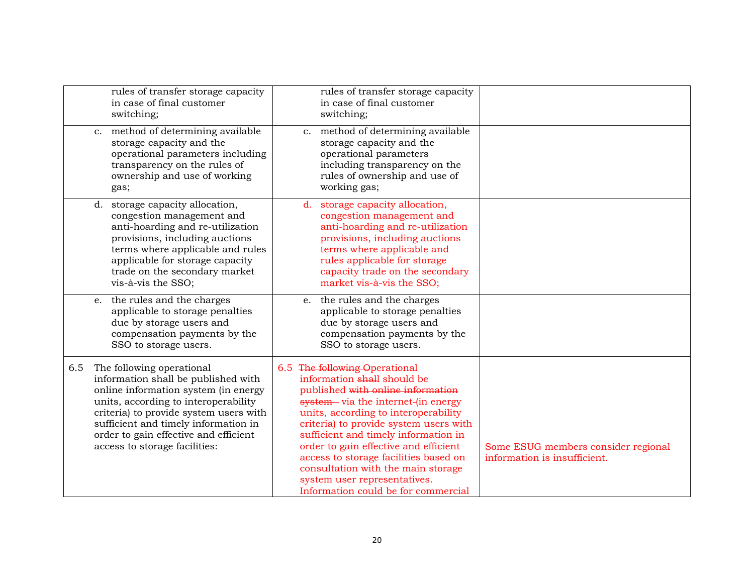|     |             | rules of transfer storage capacity<br>in case of final customer<br>switching;                                                                                                                                                                                                                                |                | rules of transfer storage capacity<br>in case of final customer<br>switching;                                                                                                                                                                                                                                                                                                                                                                                      |                                                                     |
|-----|-------------|--------------------------------------------------------------------------------------------------------------------------------------------------------------------------------------------------------------------------------------------------------------------------------------------------------------|----------------|--------------------------------------------------------------------------------------------------------------------------------------------------------------------------------------------------------------------------------------------------------------------------------------------------------------------------------------------------------------------------------------------------------------------------------------------------------------------|---------------------------------------------------------------------|
|     | $c_{\cdot}$ | method of determining available<br>storage capacity and the<br>operational parameters including<br>transparency on the rules of<br>ownership and use of working<br>gas;                                                                                                                                      | C <sub>1</sub> | method of determining available<br>storage capacity and the<br>operational parameters<br>including transparency on the<br>rules of ownership and use of<br>working gas;                                                                                                                                                                                                                                                                                            |                                                                     |
|     |             | d. storage capacity allocation,<br>congestion management and<br>anti-hoarding and re-utilization<br>provisions, including auctions<br>terms where applicable and rules<br>applicable for storage capacity<br>trade on the secondary market<br>vis-à-vis the SSO;                                             |                | d. storage capacity allocation,<br>congestion management and<br>anti-hoarding and re-utilization<br>provisions, including auctions<br>terms where applicable and<br>rules applicable for storage<br>capacity trade on the secondary<br>market vis-à-vis the SSO;                                                                                                                                                                                                   |                                                                     |
|     |             | e. the rules and the charges<br>applicable to storage penalties<br>due by storage users and<br>compensation payments by the<br>SSO to storage users.                                                                                                                                                         |                | e. the rules and the charges<br>applicable to storage penalties<br>due by storage users and<br>compensation payments by the<br>SSO to storage users.                                                                                                                                                                                                                                                                                                               |                                                                     |
| 6.5 |             | The following operational<br>information shall be published with<br>online information system (in energy<br>units, according to interoperability<br>criteria) to provide system users with<br>sufficient and timely information in<br>order to gain effective and efficient<br>access to storage facilities: |                | 6.5 The following Operational<br>information shall should be<br>published with online information<br>system - via the internet-(in energy<br>units, according to interoperability<br>criteria) to provide system users with<br>sufficient and timely information in<br>order to gain effective and efficient<br>access to storage facilities based on<br>consultation with the main storage<br>system user representatives.<br>Information could be for commercial | Some ESUG members consider regional<br>information is insufficient. |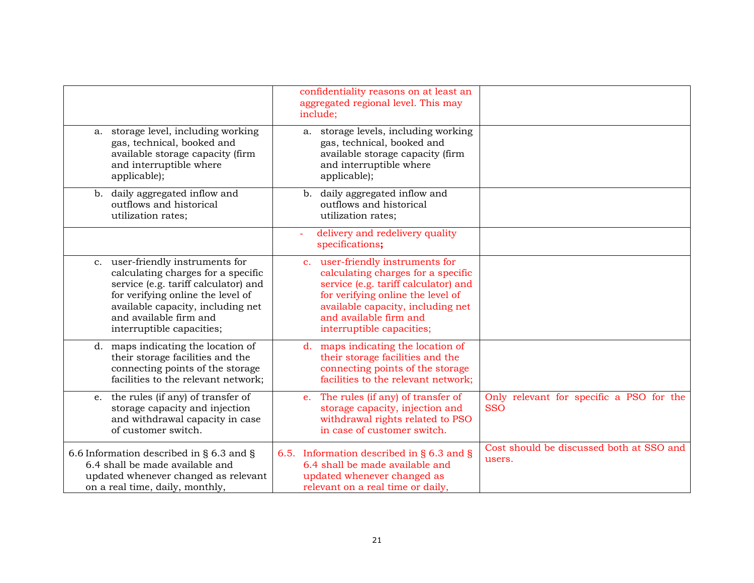|                                                                                                                                                                                                                                                 | confidentiality reasons on at least an<br>aggregated regional level. This may<br>include;                                                                                                                                                       |                                                        |
|-------------------------------------------------------------------------------------------------------------------------------------------------------------------------------------------------------------------------------------------------|-------------------------------------------------------------------------------------------------------------------------------------------------------------------------------------------------------------------------------------------------|--------------------------------------------------------|
| a. storage level, including working<br>gas, technical, booked and<br>available storage capacity (firm<br>and interruptible where<br>applicable);                                                                                                | storage levels, including working<br>a.<br>gas, technical, booked and<br>available storage capacity (firm<br>and interruptible where<br>applicable);                                                                                            |                                                        |
| daily aggregated inflow and<br>b.<br>outflows and historical<br>utilization rates;                                                                                                                                                              | b. daily aggregated inflow and<br>outflows and historical<br>utilization rates;                                                                                                                                                                 |                                                        |
|                                                                                                                                                                                                                                                 | delivery and redelivery quality<br>÷<br>specifications;                                                                                                                                                                                         |                                                        |
| c. user-friendly instruments for<br>calculating charges for a specific<br>service (e.g. tariff calculator) and<br>for verifying online the level of<br>available capacity, including net<br>and available firm and<br>interruptible capacities; | c. user-friendly instruments for<br>calculating charges for a specific<br>service (e.g. tariff calculator) and<br>for verifying online the level of<br>available capacity, including net<br>and available firm and<br>interruptible capacities; |                                                        |
| d. maps indicating the location of<br>their storage facilities and the<br>connecting points of the storage<br>facilities to the relevant network;                                                                                               | d. maps indicating the location of<br>their storage facilities and the<br>connecting points of the storage<br>facilities to the relevant network;                                                                                               |                                                        |
| the rules (if any) of transfer of<br>e.<br>storage capacity and injection<br>and withdrawal capacity in case<br>of customer switch.                                                                                                             | The rules (if any) of transfer of<br>$e_{\cdot}$<br>storage capacity, injection and<br>withdrawal rights related to PSO<br>in case of customer switch.                                                                                          | Only relevant for specific a PSO for the<br><b>SSO</b> |
| 6.6 Information described in § 6.3 and §<br>6.4 shall be made available and<br>updated whenever changed as relevant<br>on a real time, daily, monthly,                                                                                          | 6.5. Information described in $\S$ 6.3 and $\S$<br>6.4 shall be made available and<br>updated whenever changed as<br>relevant on a real time or daily,                                                                                          | Cost should be discussed both at SSO and<br>users.     |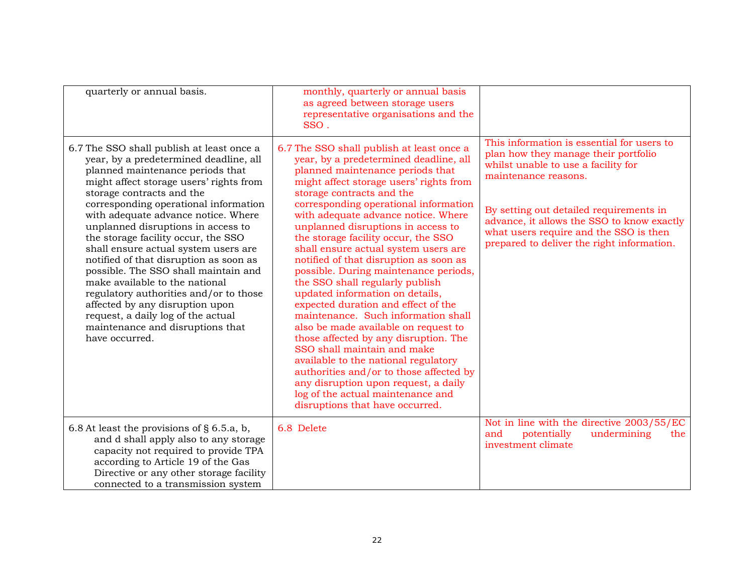| quarterly or annual basis.                                                                                                                                                                                                                                                                                                                                                                                                                                                                                                                                                                                                                                                                        | monthly, quarterly or annual basis<br>as agreed between storage users<br>representative organisations and the<br>SSO.                                                                                                                                                                                                                                                                                                                                                                                                                                                                                                                                                                                                                                                                                                                                                                                                                                          |                                                                                                                                                                                                                                                                                                                                    |
|---------------------------------------------------------------------------------------------------------------------------------------------------------------------------------------------------------------------------------------------------------------------------------------------------------------------------------------------------------------------------------------------------------------------------------------------------------------------------------------------------------------------------------------------------------------------------------------------------------------------------------------------------------------------------------------------------|----------------------------------------------------------------------------------------------------------------------------------------------------------------------------------------------------------------------------------------------------------------------------------------------------------------------------------------------------------------------------------------------------------------------------------------------------------------------------------------------------------------------------------------------------------------------------------------------------------------------------------------------------------------------------------------------------------------------------------------------------------------------------------------------------------------------------------------------------------------------------------------------------------------------------------------------------------------|------------------------------------------------------------------------------------------------------------------------------------------------------------------------------------------------------------------------------------------------------------------------------------------------------------------------------------|
| 6.7 The SSO shall publish at least once a<br>year, by a predetermined deadline, all<br>planned maintenance periods that<br>might affect storage users' rights from<br>storage contracts and the<br>corresponding operational information<br>with adequate advance notice. Where<br>unplanned disruptions in access to<br>the storage facility occur, the SSO<br>shall ensure actual system users are<br>notified of that disruption as soon as<br>possible. The SSO shall maintain and<br>make available to the national<br>regulatory authorities and/or to those<br>affected by any disruption upon<br>request, a daily log of the actual<br>maintenance and disruptions that<br>have occurred. | 6.7 The SSO shall publish at least once a<br>year, by a predetermined deadline, all<br>planned maintenance periods that<br>might affect storage users' rights from<br>storage contracts and the<br>corresponding operational information<br>with adequate advance notice. Where<br>unplanned disruptions in access to<br>the storage facility occur, the SSO<br>shall ensure actual system users are<br>notified of that disruption as soon as<br>possible. During maintenance periods,<br>the SSO shall regularly publish<br>updated information on details,<br>expected duration and effect of the<br>maintenance. Such information shall<br>also be made available on request to<br>those affected by any disruption. The<br>SSO shall maintain and make<br>available to the national regulatory<br>authorities and/or to those affected by<br>any disruption upon request, a daily<br>log of the actual maintenance and<br>disruptions that have occurred. | This information is essential for users to<br>plan how they manage their portfolio<br>whilst unable to use a facility for<br>maintenance reasons.<br>By setting out detailed requirements in<br>advance, it allows the SSO to know exactly<br>what users require and the SSO is then<br>prepared to deliver the right information. |
| 6.8 At least the provisions of § 6.5.a, b,<br>and d shall apply also to any storage<br>capacity not required to provide TPA<br>according to Article 19 of the Gas<br>Directive or any other storage facility<br>connected to a transmission system                                                                                                                                                                                                                                                                                                                                                                                                                                                | 6.8 Delete                                                                                                                                                                                                                                                                                                                                                                                                                                                                                                                                                                                                                                                                                                                                                                                                                                                                                                                                                     | Not in line with the directive 2003/55/EC<br>undermining<br>potentially<br>and<br>the<br>investment climate                                                                                                                                                                                                                        |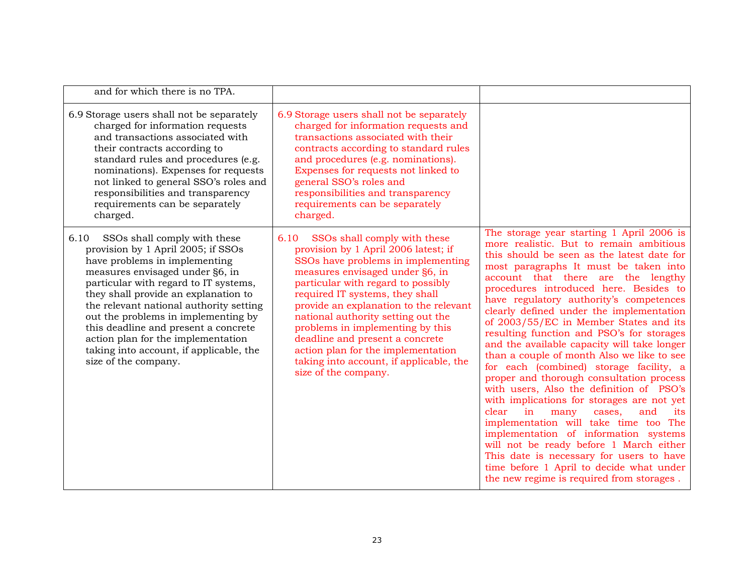| and for which there is no TPA.                                                                                                                                                                                                                                                                                                                                                                                                                                     |                                                                                                                                                                                                                                                                                                                                                                                                                                                                                                |                                                                                                                                                                                                                                                                                                                                                                                                                                                                                                                                                                                                                                                                                                                                                                                                                                                                                                                                                                                                                                          |
|--------------------------------------------------------------------------------------------------------------------------------------------------------------------------------------------------------------------------------------------------------------------------------------------------------------------------------------------------------------------------------------------------------------------------------------------------------------------|------------------------------------------------------------------------------------------------------------------------------------------------------------------------------------------------------------------------------------------------------------------------------------------------------------------------------------------------------------------------------------------------------------------------------------------------------------------------------------------------|------------------------------------------------------------------------------------------------------------------------------------------------------------------------------------------------------------------------------------------------------------------------------------------------------------------------------------------------------------------------------------------------------------------------------------------------------------------------------------------------------------------------------------------------------------------------------------------------------------------------------------------------------------------------------------------------------------------------------------------------------------------------------------------------------------------------------------------------------------------------------------------------------------------------------------------------------------------------------------------------------------------------------------------|
| 6.9 Storage users shall not be separately<br>charged for information requests<br>and transactions associated with<br>their contracts according to<br>standard rules and procedures (e.g.<br>nominations). Expenses for requests<br>not linked to general SSO's roles and<br>responsibilities and transparency<br>requirements can be separately<br>charged.                                                                                                        | 6.9 Storage users shall not be separately<br>charged for information requests and<br>transactions associated with their<br>contracts according to standard rules<br>and procedures (e.g. nominations).<br>Expenses for requests not linked to<br>general SSO's roles and<br>responsibilities and transparency<br>requirements can be separately<br>charged.                                                                                                                                    |                                                                                                                                                                                                                                                                                                                                                                                                                                                                                                                                                                                                                                                                                                                                                                                                                                                                                                                                                                                                                                          |
| SSOs shall comply with these<br>6.10<br>provision by 1 April 2005; if SSOs<br>have problems in implementing<br>measures envisaged under §6, in<br>particular with regard to IT systems,<br>they shall provide an explanation to<br>the relevant national authority setting<br>out the problems in implementing by<br>this deadline and present a concrete<br>action plan for the implementation<br>taking into account, if applicable, the<br>size of the company. | SSOs shall comply with these<br>6.10<br>provision by 1 April 2006 latest; if<br>SSOs have problems in implementing<br>measures envisaged under §6, in<br>particular with regard to possibly<br>required IT systems, they shall<br>provide an explanation to the relevant<br>national authority setting out the<br>problems in implementing by this<br>deadline and present a concrete<br>action plan for the implementation<br>taking into account, if applicable, the<br>size of the company. | The storage year starting 1 April 2006 is<br>more realistic. But to remain ambitious<br>this should be seen as the latest date for<br>most paragraphs It must be taken into<br>account that there are the lengthy<br>procedures introduced here. Besides to<br>have regulatory authority's competences<br>clearly defined under the implementation<br>of 2003/55/EC in Member States and its<br>resulting function and PSO's for storages<br>and the available capacity will take longer<br>than a couple of month Also we like to see<br>for each (combined) storage facility, a<br>proper and thorough consultation process<br>with users, Also the definition of PSO's<br>with implications for storages are not yet<br>clear<br>in<br>many<br>and<br>its<br>cases,<br>implementation will take time too The<br>implementation of information systems<br>will not be ready before 1 March either<br>This date is necessary for users to have<br>time before 1 April to decide what under<br>the new regime is required from storages. |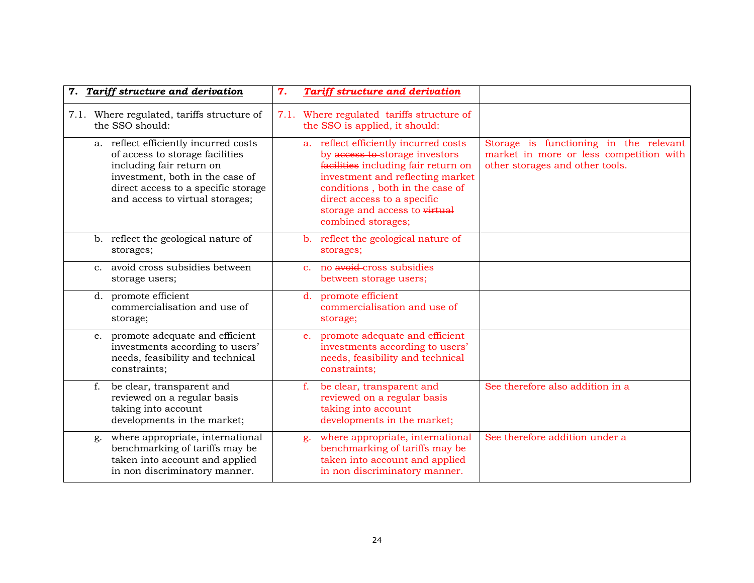| 7. Tariff structure and derivation                                                                                                                                                                                | <b>Tariff structure and derivation</b><br>7.                                                                                                                                                                                                                                |                                                                                                                      |
|-------------------------------------------------------------------------------------------------------------------------------------------------------------------------------------------------------------------|-----------------------------------------------------------------------------------------------------------------------------------------------------------------------------------------------------------------------------------------------------------------------------|----------------------------------------------------------------------------------------------------------------------|
| 7.1. Where regulated, tariffs structure of<br>the SSO should:                                                                                                                                                     | 7.1. Where regulated tariffs structure of<br>the SSO is applied, it should:                                                                                                                                                                                                 |                                                                                                                      |
| a. reflect efficiently incurred costs<br>of access to storage facilities<br>including fair return on<br>investment, both in the case of<br>direct access to a specific storage<br>and access to virtual storages; | a. reflect efficiently incurred costs<br>by access to storage investors<br>facilities including fair return on<br>investment and reflecting market<br>conditions, both in the case of<br>direct access to a specific<br>storage and access to virtual<br>combined storages; | Storage is functioning in the relevant<br>market in more or less competition with<br>other storages and other tools. |
| b. reflect the geological nature of<br>storages;                                                                                                                                                                  | b. reflect the geological nature of<br>storages;                                                                                                                                                                                                                            |                                                                                                                      |
| c. avoid cross subsidies between<br>storage users;                                                                                                                                                                | c. no avoid-cross subsidies<br>between storage users;                                                                                                                                                                                                                       |                                                                                                                      |
| d. promote efficient<br>commercialisation and use of<br>storage;                                                                                                                                                  | d. promote efficient<br>commercialisation and use of<br>storage;                                                                                                                                                                                                            |                                                                                                                      |
| e. promote adequate and efficient<br>investments according to users'<br>needs, feasibility and technical<br>constraints;                                                                                          | promote adequate and efficient<br>$e_{\cdot}$<br>investments according to users'<br>needs, feasibility and technical<br>constraints;                                                                                                                                        |                                                                                                                      |
| f.<br>be clear, transparent and<br>reviewed on a regular basis<br>taking into account<br>developments in the market;                                                                                              | f.<br>be clear, transparent and<br>reviewed on a regular basis<br>taking into account<br>developments in the market;                                                                                                                                                        | See therefore also addition in a                                                                                     |
| where appropriate, international<br>g.<br>benchmarking of tariffs may be<br>taken into account and applied<br>in non discriminatory manner.                                                                       | where appropriate, international<br>g.<br>benchmarking of tariffs may be<br>taken into account and applied<br>in non discriminatory manner.                                                                                                                                 | See therefore addition under a                                                                                       |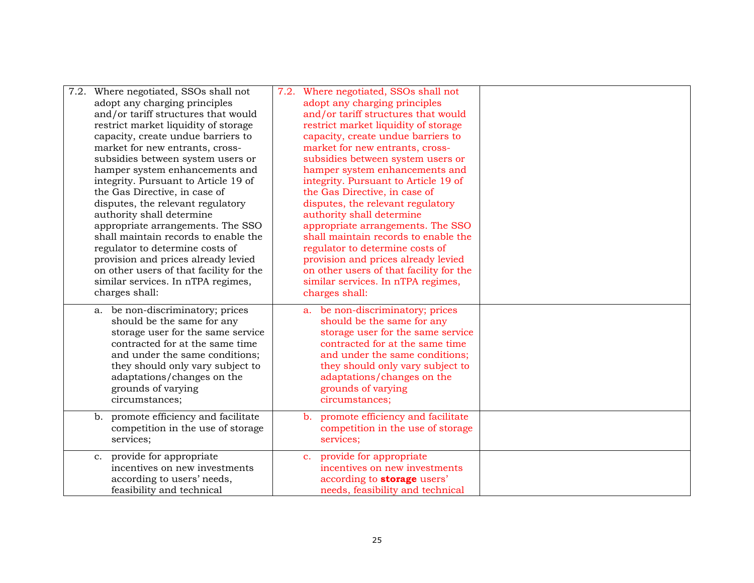|  | 7.2. Where negotiated, SSOs shall not<br>adopt any charging principles<br>and/or tariff structures that would<br>restrict market liquidity of storage<br>capacity, create undue barriers to<br>market for new entrants, cross-<br>subsidies between system users or<br>hamper system enhancements and<br>integrity. Pursuant to Article 19 of<br>the Gas Directive, in case of<br>disputes, the relevant regulatory<br>authority shall determine<br>appropriate arrangements. The SSO<br>shall maintain records to enable the<br>regulator to determine costs of<br>provision and prices already levied<br>on other users of that facility for the<br>similar services. In nTPA regimes,<br>charges shall: | 7.2. Where negotiated, SSOs shall not<br>adopt any charging principles<br>and/or tariff structures that would<br>restrict market liquidity of storage<br>capacity, create undue barriers to<br>market for new entrants, cross-<br>subsidies between system users or<br>hamper system enhancements and<br>integrity. Pursuant to Article 19 of<br>the Gas Directive, in case of<br>disputes, the relevant regulatory<br>authority shall determine<br>appropriate arrangements. The SSO<br>shall maintain records to enable the<br>regulator to determine costs of<br>provision and prices already levied<br>on other users of that facility for the<br>similar services. In nTPA regimes,<br>charges shall: |  |
|--|------------------------------------------------------------------------------------------------------------------------------------------------------------------------------------------------------------------------------------------------------------------------------------------------------------------------------------------------------------------------------------------------------------------------------------------------------------------------------------------------------------------------------------------------------------------------------------------------------------------------------------------------------------------------------------------------------------|------------------------------------------------------------------------------------------------------------------------------------------------------------------------------------------------------------------------------------------------------------------------------------------------------------------------------------------------------------------------------------------------------------------------------------------------------------------------------------------------------------------------------------------------------------------------------------------------------------------------------------------------------------------------------------------------------------|--|
|  | a. be non-discriminatory; prices<br>should be the same for any<br>storage user for the same service<br>contracted for at the same time<br>and under the same conditions;<br>they should only vary subject to<br>adaptations/changes on the<br>grounds of varying<br>circumstances;<br>promote efficiency and facilitate<br>b.                                                                                                                                                                                                                                                                                                                                                                              | a. be non-discriminatory; prices<br>should be the same for any<br>storage user for the same service<br>contracted for at the same time<br>and under the same conditions;<br>they should only vary subject to<br>adaptations/changes on the<br>grounds of varying<br>circumstances;<br>promote efficiency and facilitate<br>$b_{\cdot}$                                                                                                                                                                                                                                                                                                                                                                     |  |
|  | competition in the use of storage<br>services;                                                                                                                                                                                                                                                                                                                                                                                                                                                                                                                                                                                                                                                             | competition in the use of storage<br>services;                                                                                                                                                                                                                                                                                                                                                                                                                                                                                                                                                                                                                                                             |  |
|  | c. provide for appropriate<br>incentives on new investments<br>according to users' needs,<br>feasibility and technical                                                                                                                                                                                                                                                                                                                                                                                                                                                                                                                                                                                     | c. provide for appropriate<br>incentives on new investments<br>according to <b>storage</b> users'<br>needs, feasibility and technical                                                                                                                                                                                                                                                                                                                                                                                                                                                                                                                                                                      |  |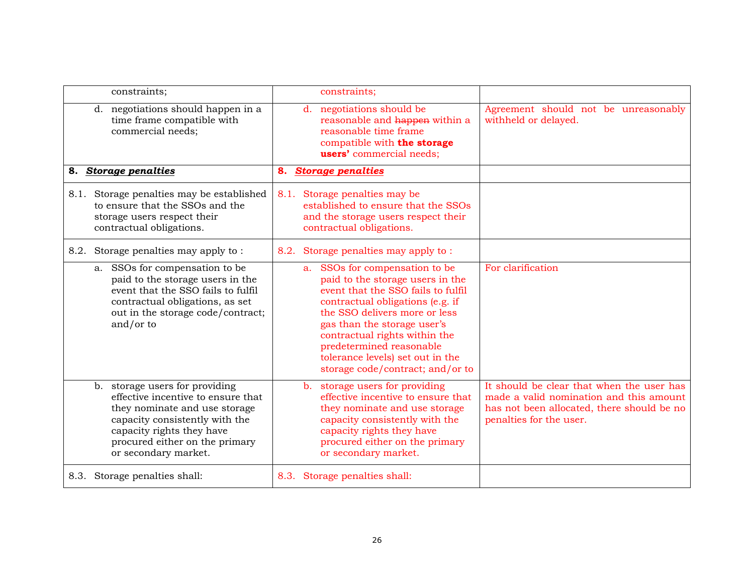| constraints;                                                                                                                                                                                                                   | constraints;                                                                                                                                                                                                                                                                                                                                         |                                                                                                                                                               |
|--------------------------------------------------------------------------------------------------------------------------------------------------------------------------------------------------------------------------------|------------------------------------------------------------------------------------------------------------------------------------------------------------------------------------------------------------------------------------------------------------------------------------------------------------------------------------------------------|---------------------------------------------------------------------------------------------------------------------------------------------------------------|
| d. negotiations should happen in a<br>time frame compatible with<br>commercial needs;                                                                                                                                          | negotiations should be<br>$d_{\cdot}$<br>reasonable and happen within a<br>reasonable time frame<br>compatible with the storage<br>users' commercial needs;                                                                                                                                                                                          | Agreement should not be unreasonably<br>withheld or delayed.                                                                                                  |
| <b>Storage penalties</b><br>8.                                                                                                                                                                                                 | <b>Storage penalties</b><br>8.                                                                                                                                                                                                                                                                                                                       |                                                                                                                                                               |
| 8.1. Storage penalties may be established<br>to ensure that the SSOs and the<br>storage users respect their<br>contractual obligations.                                                                                        | 8.1. Storage penalties may be<br>established to ensure that the SSOs<br>and the storage users respect their<br>contractual obligations.                                                                                                                                                                                                              |                                                                                                                                                               |
| 8.2. Storage penalties may apply to:                                                                                                                                                                                           | 8.2. Storage penalties may apply to:                                                                                                                                                                                                                                                                                                                 |                                                                                                                                                               |
| a. SSOs for compensation to be<br>paid to the storage users in the<br>event that the SSO fails to fulfil<br>contractual obligations, as set<br>out in the storage code/contract;<br>and/or to                                  | SSOs for compensation to be<br>a.<br>paid to the storage users in the<br>event that the SSO fails to fulfil<br>contractual obligations (e.g. if<br>the SSO delivers more or less<br>gas than the storage user's<br>contractual rights within the<br>predetermined reasonable<br>tolerance levels) set out in the<br>storage code/contract; and/or to | For clarification                                                                                                                                             |
| b. storage users for providing<br>effective incentive to ensure that<br>they nominate and use storage<br>capacity consistently with the<br>capacity rights they have<br>procured either on the primary<br>or secondary market. | b. storage users for providing<br>effective incentive to ensure that<br>they nominate and use storage<br>capacity consistently with the<br>capacity rights they have<br>procured either on the primary<br>or secondary market.                                                                                                                       | It should be clear that when the user has<br>made a valid nomination and this amount<br>has not been allocated, there should be no<br>penalties for the user. |
| 8.3. Storage penalties shall:                                                                                                                                                                                                  | 8.3. Storage penalties shall:                                                                                                                                                                                                                                                                                                                        |                                                                                                                                                               |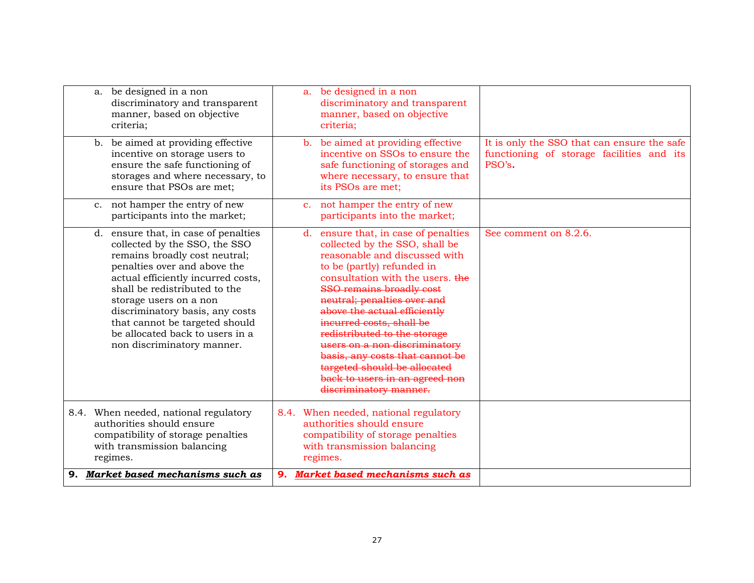| be designed in a non<br>a.<br>discriminatory and transparent<br>manner, based on objective<br>criteria;                                                                                                                                                                                                                                                                       | be designed in a non<br>a.<br>discriminatory and transparent<br>manner, based on objective<br>criteria;                                                                                                                                                                                                                                                                                                                                                                                                    |                                                                                                    |
|-------------------------------------------------------------------------------------------------------------------------------------------------------------------------------------------------------------------------------------------------------------------------------------------------------------------------------------------------------------------------------|------------------------------------------------------------------------------------------------------------------------------------------------------------------------------------------------------------------------------------------------------------------------------------------------------------------------------------------------------------------------------------------------------------------------------------------------------------------------------------------------------------|----------------------------------------------------------------------------------------------------|
| b. be aimed at providing effective<br>incentive on storage users to<br>ensure the safe functioning of<br>storages and where necessary, to<br>ensure that PSOs are met;                                                                                                                                                                                                        | b. be aimed at providing effective<br>incentive on SSOs to ensure the<br>safe functioning of storages and<br>where necessary, to ensure that<br>its PSOs are met;                                                                                                                                                                                                                                                                                                                                          | It is only the SSO that can ensure the safe<br>functioning of storage facilities and its<br>PSO's. |
| not hamper the entry of new<br>$\mathbf{c}$ .<br>participants into the market;                                                                                                                                                                                                                                                                                                | not hamper the entry of new<br>$\mathbf{C}$ .<br>participants into the market;                                                                                                                                                                                                                                                                                                                                                                                                                             |                                                                                                    |
| d. ensure that, in case of penalties<br>collected by the SSO, the SSO<br>remains broadly cost neutral;<br>penalties over and above the<br>actual efficiently incurred costs,<br>shall be redistributed to the<br>storage users on a non<br>discriminatory basis, any costs<br>that cannot be targeted should<br>be allocated back to users in a<br>non discriminatory manner. | ensure that, in case of penalties<br>d.<br>collected by the SSO, shall be<br>reasonable and discussed with<br>to be (partly) refunded in<br>consultation with the users. the<br><b>SSO remains broadly cost</b><br>neutral; penalties over and<br>above the actual efficiently<br>incurred costs, shall be<br>redistributed to the storage<br>users on a non discriminatory<br>basis, any costs that cannot be<br>targeted should be allocated<br>back to users in an agreed non<br>discriminatory manner. | See comment on 8.2.6.                                                                              |
| 8.4. When needed, national regulatory<br>authorities should ensure<br>compatibility of storage penalties<br>with transmission balancing<br>regimes.                                                                                                                                                                                                                           | 8.4. When needed, national regulatory<br>authorities should ensure<br>compatibility of storage penalties<br>with transmission balancing<br>regimes.                                                                                                                                                                                                                                                                                                                                                        |                                                                                                    |
| 9. Market based mechanisms such as                                                                                                                                                                                                                                                                                                                                            | Market based mechanisms such as<br>9.                                                                                                                                                                                                                                                                                                                                                                                                                                                                      |                                                                                                    |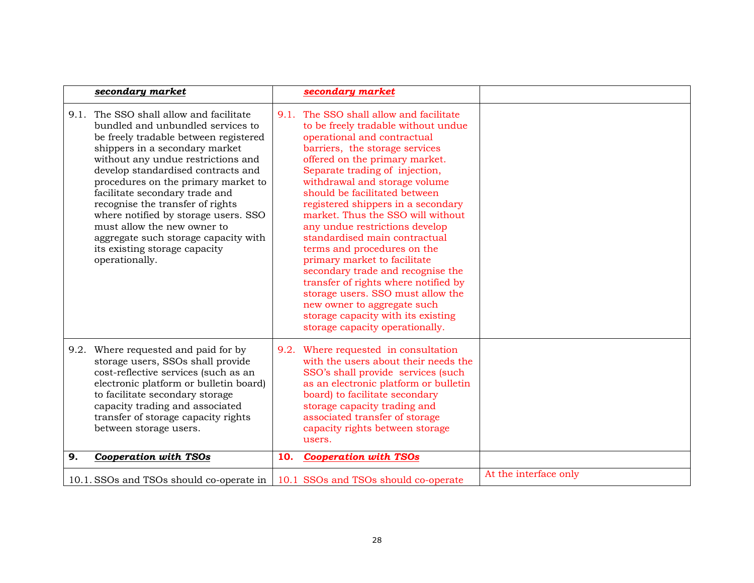|    | secondary market                                                                                                                                                                                                                                                                                                                                                                                                                                                                                                   |     | secondary market                                                                                                                                                                                                                                                                                                                                                                                                                                                                                                                                                                                                                                                                                                             |                       |
|----|--------------------------------------------------------------------------------------------------------------------------------------------------------------------------------------------------------------------------------------------------------------------------------------------------------------------------------------------------------------------------------------------------------------------------------------------------------------------------------------------------------------------|-----|------------------------------------------------------------------------------------------------------------------------------------------------------------------------------------------------------------------------------------------------------------------------------------------------------------------------------------------------------------------------------------------------------------------------------------------------------------------------------------------------------------------------------------------------------------------------------------------------------------------------------------------------------------------------------------------------------------------------------|-----------------------|
|    | 9.1. The SSO shall allow and facilitate<br>bundled and unbundled services to<br>be freely tradable between registered<br>shippers in a secondary market<br>without any undue restrictions and<br>develop standardised contracts and<br>procedures on the primary market to<br>facilitate secondary trade and<br>recognise the transfer of rights<br>where notified by storage users. SSO<br>must allow the new owner to<br>aggregate such storage capacity with<br>its existing storage capacity<br>operationally. |     | 9.1. The SSO shall allow and facilitate<br>to be freely tradable without undue<br>operational and contractual<br>barriers, the storage services<br>offered on the primary market.<br>Separate trading of injection,<br>withdrawal and storage volume<br>should be facilitated between<br>registered shippers in a secondary<br>market. Thus the SSO will without<br>any undue restrictions develop<br>standardised main contractual<br>terms and procedures on the<br>primary market to facilitate<br>secondary trade and recognise the<br>transfer of rights where notified by<br>storage users. SSO must allow the<br>new owner to aggregate such<br>storage capacity with its existing<br>storage capacity operationally. |                       |
|    | 9.2. Where requested and paid for by<br>storage users, SSOs shall provide<br>cost-reflective services (such as an<br>electronic platform or bulletin board)<br>to facilitate secondary storage<br>capacity trading and associated<br>transfer of storage capacity rights<br>between storage users.                                                                                                                                                                                                                 |     | 9.2. Where requested in consultation<br>with the users about their needs the<br>SSO's shall provide services (such<br>as an electronic platform or bulletin<br>board) to facilitate secondary<br>storage capacity trading and<br>associated transfer of storage<br>capacity rights between storage<br>users.                                                                                                                                                                                                                                                                                                                                                                                                                 |                       |
| 9. | <b>Cooperation with TSOs</b>                                                                                                                                                                                                                                                                                                                                                                                                                                                                                       | 10. | <b>Cooperation with TSOs</b>                                                                                                                                                                                                                                                                                                                                                                                                                                                                                                                                                                                                                                                                                                 |                       |
|    | 10.1. SSOs and TSOs should co-operate in                                                                                                                                                                                                                                                                                                                                                                                                                                                                           |     | 10.1 SSOs and TSOs should co-operate                                                                                                                                                                                                                                                                                                                                                                                                                                                                                                                                                                                                                                                                                         | At the interface only |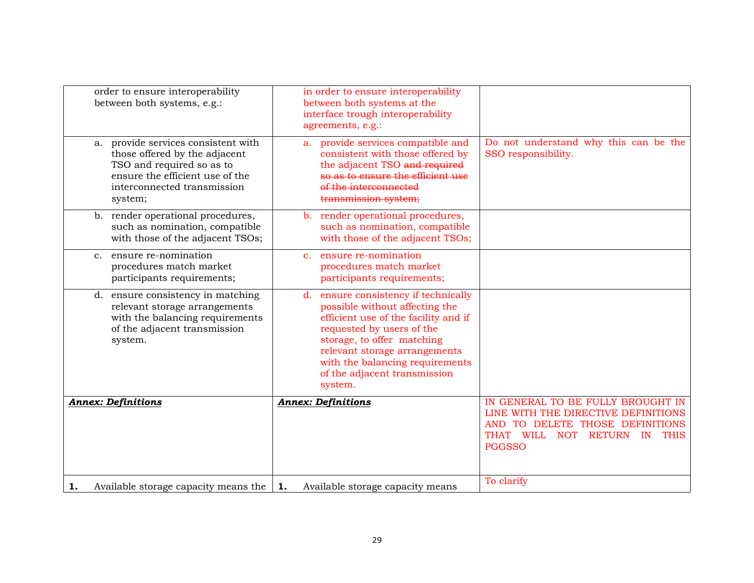| order to ensure interoperability<br>between both systems, e.g.:                                                                                                                   | in order to ensure interoperability<br>between both systems at the<br>interface trough interoperability<br>agreements, e.g.:                                                                                                                                                                |                                                                                                                                                                                     |
|-----------------------------------------------------------------------------------------------------------------------------------------------------------------------------------|---------------------------------------------------------------------------------------------------------------------------------------------------------------------------------------------------------------------------------------------------------------------------------------------|-------------------------------------------------------------------------------------------------------------------------------------------------------------------------------------|
| provide services consistent with<br>a.<br>those offered by the adjacent<br>TSO and required so as to<br>ensure the efficient use of the<br>interconnected transmission<br>system; | a. provide services compatible and<br>consistent with those offered by<br>the adjacent TSO and required<br>so as to ensure the efficient use<br>of the interconnected<br>transmission system;                                                                                               | Do not understand why this can be the<br>SSO responsibility.                                                                                                                        |
| b. render operational procedures,<br>such as nomination, compatible<br>with those of the adjacent TSOs;                                                                           | b. render operational procedures,<br>such as nomination, compatible<br>with those of the adjacent TSOs;                                                                                                                                                                                     |                                                                                                                                                                                     |
| ensure re-nomination<br>C <sub>1</sub><br>procedures match market<br>participants requirements;                                                                                   | ensure re-nomination<br>$\mathbf{c}$ .<br>procedures match market<br>participants requirements;                                                                                                                                                                                             |                                                                                                                                                                                     |
| d. ensure consistency in matching<br>relevant storage arrangements<br>with the balancing requirements<br>of the adjacent transmission<br>system.                                  | ensure consistency if technically<br>d.<br>possible without affecting the<br>efficient use of the facility and if<br>requested by users of the<br>storage, to offer matching<br>relevant storage arrangements<br>with the balancing requirements<br>of the adjacent transmission<br>system. |                                                                                                                                                                                     |
| <b>Annex: Definitions</b>                                                                                                                                                         | <b>Annex: Definitions</b>                                                                                                                                                                                                                                                                   | IN GENERAL TO BE FULLY BROUGHT IN<br>LINE WITH THE DIRECTIVE DEFINITIONS<br>AND TO DELETE THOSE DEFINITIONS<br>THAT WILL NOT<br><b>RETURN</b><br>IN<br><b>THIS</b><br><b>PGGSSO</b> |
| 1.<br>Available storage capacity means the                                                                                                                                        | 1.<br>Available storage capacity means                                                                                                                                                                                                                                                      | To clarify                                                                                                                                                                          |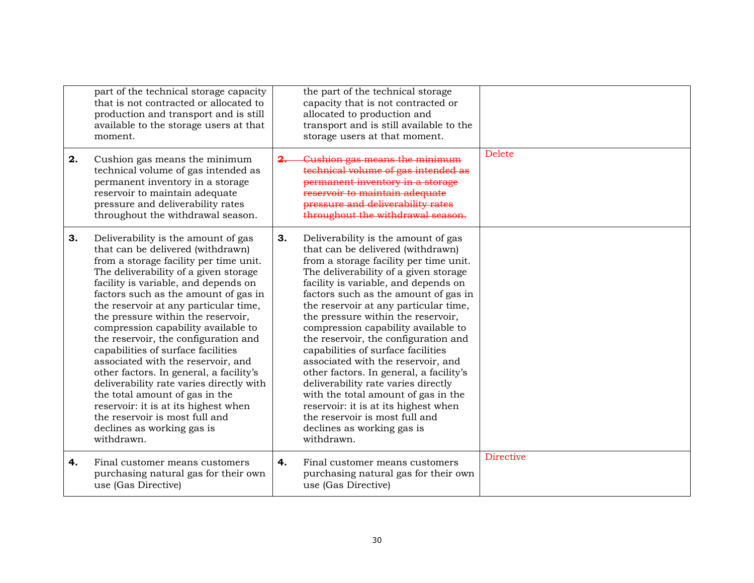| 2. | part of the technical storage capacity<br>that is not contracted or allocated to<br>production and transport and is still<br>available to the storage users at that<br>moment.<br>Cushion gas means the minimum<br>technical volume of gas intended as<br>permanent inventory in a storage<br>reservoir to maintain adequate<br>pressure and deliverability rates<br>throughout the withdrawal season.                                                                                                                                                                                                                                                                                                                               | 2. | the part of the technical storage<br>capacity that is not contracted or<br>allocated to production and<br>transport and is still available to the<br>storage users at that moment.<br>Cushion gas means the minimum<br>technical volume of gas intended as<br>permanent inventory in a storage<br>reservoir to maintain adequate<br>pressure and deliverability rates<br>throughout the withdrawal season.                                                                                                                                                                                                                                                                                                                           | <b>Delete</b>    |
|----|--------------------------------------------------------------------------------------------------------------------------------------------------------------------------------------------------------------------------------------------------------------------------------------------------------------------------------------------------------------------------------------------------------------------------------------------------------------------------------------------------------------------------------------------------------------------------------------------------------------------------------------------------------------------------------------------------------------------------------------|----|--------------------------------------------------------------------------------------------------------------------------------------------------------------------------------------------------------------------------------------------------------------------------------------------------------------------------------------------------------------------------------------------------------------------------------------------------------------------------------------------------------------------------------------------------------------------------------------------------------------------------------------------------------------------------------------------------------------------------------------|------------------|
| 3. | Deliverability is the amount of gas<br>that can be delivered (withdrawn)<br>from a storage facility per time unit.<br>The deliverability of a given storage<br>facility is variable, and depends on<br>factors such as the amount of gas in<br>the reservoir at any particular time,<br>the pressure within the reservoir,<br>compression capability available to<br>the reservoir, the configuration and<br>capabilities of surface facilities<br>associated with the reservoir, and<br>other factors. In general, a facility's<br>deliverability rate varies directly with<br>the total amount of gas in the<br>reservoir: it is at its highest when<br>the reservoir is most full and<br>declines as working gas is<br>withdrawn. | 3. | Deliverability is the amount of gas<br>that can be delivered (withdrawn)<br>from a storage facility per time unit.<br>The deliverability of a given storage<br>facility is variable, and depends on<br>factors such as the amount of gas in<br>the reservoir at any particular time,<br>the pressure within the reservoir,<br>compression capability available to<br>the reservoir, the configuration and<br>capabilities of surface facilities<br>associated with the reservoir, and<br>other factors. In general, a facility's<br>deliverability rate varies directly<br>with the total amount of gas in the<br>reservoir: it is at its highest when<br>the reservoir is most full and<br>declines as working gas is<br>withdrawn. |                  |
| 4. | Final customer means customers<br>purchasing natural gas for their own<br>use (Gas Directive)                                                                                                                                                                                                                                                                                                                                                                                                                                                                                                                                                                                                                                        | 4. | Final customer means customers<br>purchasing natural gas for their own<br>use (Gas Directive)                                                                                                                                                                                                                                                                                                                                                                                                                                                                                                                                                                                                                                        | <b>Directive</b> |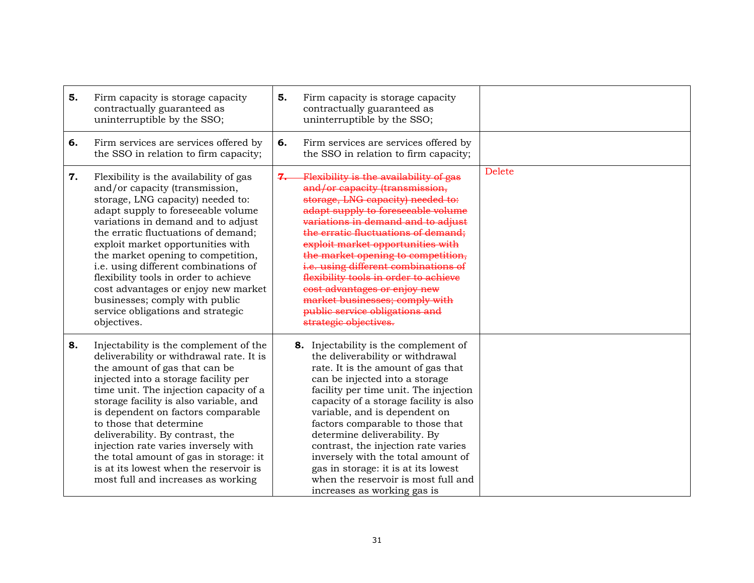| 5. | Firm capacity is storage capacity<br>contractually guaranteed as<br>uninterruptible by the SSO;                                                                                                                                                                                                                                                                                                                                                                                                                           | 5. | Firm capacity is storage capacity<br>contractually guaranteed as<br>uninterruptible by the SSO;                                                                                                                                                                                                                                                                                                                                                                                                                                     |               |
|----|---------------------------------------------------------------------------------------------------------------------------------------------------------------------------------------------------------------------------------------------------------------------------------------------------------------------------------------------------------------------------------------------------------------------------------------------------------------------------------------------------------------------------|----|-------------------------------------------------------------------------------------------------------------------------------------------------------------------------------------------------------------------------------------------------------------------------------------------------------------------------------------------------------------------------------------------------------------------------------------------------------------------------------------------------------------------------------------|---------------|
| 6. | Firm services are services offered by<br>the SSO in relation to firm capacity;                                                                                                                                                                                                                                                                                                                                                                                                                                            | 6. | Firm services are services offered by<br>the SSO in relation to firm capacity;                                                                                                                                                                                                                                                                                                                                                                                                                                                      |               |
| 7. | Flexibility is the availability of gas<br>and/or capacity (transmission,<br>storage, LNG capacity) needed to:<br>adapt supply to foreseeable volume<br>variations in demand and to adjust<br>the erratic fluctuations of demand;<br>exploit market opportunities with<br>the market opening to competition,<br>i.e. using different combinations of<br>flexibility tools in order to achieve<br>cost advantages or enjoy new market<br>businesses; comply with public<br>service obligations and strategic<br>objectives. | 7. | Flexibility is the availability of gas<br>and/or capacity (transmission,<br>storage, LNG capacity) needed to:<br>adapt supply to foreseeable volume<br>variations in demand and to adjust<br>the erratic fluctuations of demand;<br>exploit market opportunities with<br>the market opening to competition,<br>i.e. using different combinations of<br>flexibility tools in order to achieve<br>cost advantages or enjoy new<br>market businesses; comply with<br>public service obligations and<br>strategic objectives.           | <b>Delete</b> |
| 8. | Injectability is the complement of the<br>deliverability or withdrawal rate. It is<br>the amount of gas that can be<br>injected into a storage facility per<br>time unit. The injection capacity of a<br>storage facility is also variable, and<br>is dependent on factors comparable<br>to those that determine<br>deliverability. By contrast, the<br>injection rate varies inversely with<br>the total amount of gas in storage: it<br>is at its lowest when the reservoir is<br>most full and increases as working    |    | 8. Injectability is the complement of<br>the deliverability or withdrawal<br>rate. It is the amount of gas that<br>can be injected into a storage<br>facility per time unit. The injection<br>capacity of a storage facility is also<br>variable, and is dependent on<br>factors comparable to those that<br>determine deliverability. By<br>contrast, the injection rate varies<br>inversely with the total amount of<br>gas in storage: it is at its lowest<br>when the reservoir is most full and<br>increases as working gas is |               |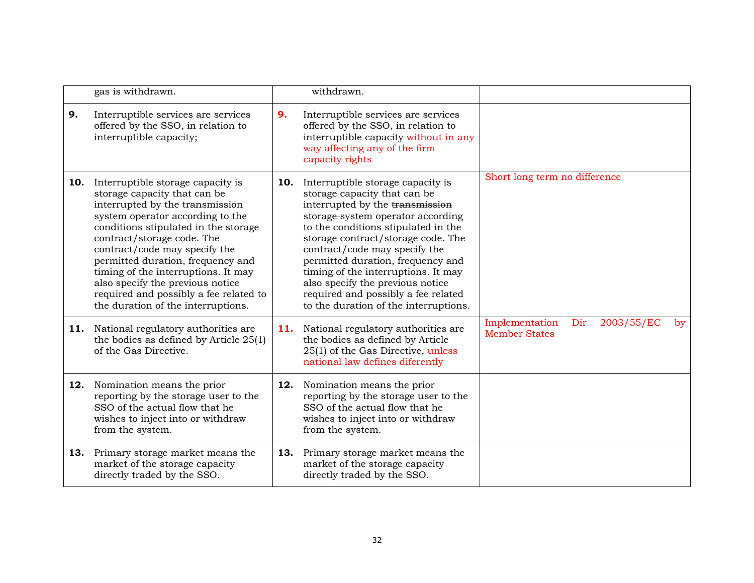|     | gas is withdrawn.                                                                                                                                                                                                                                                                                                                                                                                                                               |     | withdrawn.                                                                                                                                                                                                                                                                                                                                                                                                                                              |                                                                             |
|-----|-------------------------------------------------------------------------------------------------------------------------------------------------------------------------------------------------------------------------------------------------------------------------------------------------------------------------------------------------------------------------------------------------------------------------------------------------|-----|---------------------------------------------------------------------------------------------------------------------------------------------------------------------------------------------------------------------------------------------------------------------------------------------------------------------------------------------------------------------------------------------------------------------------------------------------------|-----------------------------------------------------------------------------|
| 9.  | Interruptible services are services<br>offered by the SSO, in relation to<br>interruptible capacity;                                                                                                                                                                                                                                                                                                                                            | 9.  | Interruptible services are services<br>offered by the SSO, in relation to<br>interruptible capacity without in any<br>way affecting any of the firm<br>capacity rights                                                                                                                                                                                                                                                                                  |                                                                             |
| 10. | Interruptible storage capacity is<br>storage capacity that can be<br>interrupted by the transmission<br>system operator according to the<br>conditions stipulated in the storage<br>contract/storage code. The<br>contract/code may specify the<br>permitted duration, frequency and<br>timing of the interruptions. It may<br>also specify the previous notice<br>required and possibly a fee related to<br>the duration of the interruptions. | 10. | Interruptible storage capacity is<br>storage capacity that can be<br>interrupted by the transmission<br>storage-system operator according<br>to the conditions stipulated in the<br>storage contract/storage code. The<br>contract/code may specify the<br>permitted duration, frequency and<br>timing of the interruptions. It may<br>also specify the previous notice<br>required and possibly a fee related<br>to the duration of the interruptions. | Short long term no difference                                               |
|     | 11. National regulatory authorities are<br>the bodies as defined by Article 25(1)<br>of the Gas Directive.                                                                                                                                                                                                                                                                                                                                      | 11. | National regulatory authorities are<br>the bodies as defined by Article<br>25(1) of the Gas Directive, unless<br>national law defines diferently                                                                                                                                                                                                                                                                                                        | 2003/55/EC<br>Implementation<br>Dir<br>$\mathbf{b}$<br><b>Member States</b> |
| 12. | Nomination means the prior<br>reporting by the storage user to the<br>SSO of the actual flow that he<br>wishes to inject into or withdraw<br>from the system.                                                                                                                                                                                                                                                                                   | 12. | Nomination means the prior<br>reporting by the storage user to the<br>SSO of the actual flow that he<br>wishes to inject into or withdraw<br>from the system.                                                                                                                                                                                                                                                                                           |                                                                             |
|     | <b>13.</b> Primary storage market means the<br>market of the storage capacity<br>directly traded by the SSO.                                                                                                                                                                                                                                                                                                                                    | 13. | Primary storage market means the<br>market of the storage capacity<br>directly traded by the SSO.                                                                                                                                                                                                                                                                                                                                                       |                                                                             |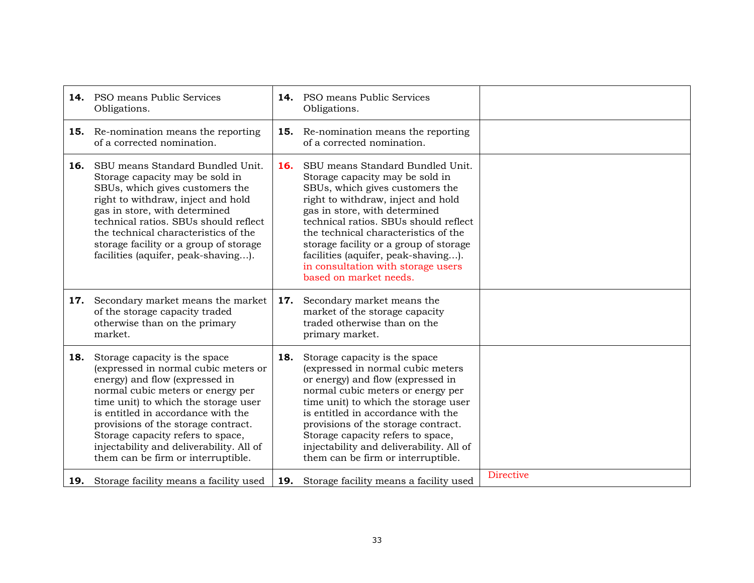|     | <b>14.</b> PSO means Public Services<br>Obligations.                                                                                                                                                                                                                                                                                                                                     |     | <b>14.</b> PSO means Public Services<br>Obligations.                                                                                                                                                                                                                                                                                                                                                            |                  |
|-----|------------------------------------------------------------------------------------------------------------------------------------------------------------------------------------------------------------------------------------------------------------------------------------------------------------------------------------------------------------------------------------------|-----|-----------------------------------------------------------------------------------------------------------------------------------------------------------------------------------------------------------------------------------------------------------------------------------------------------------------------------------------------------------------------------------------------------------------|------------------|
|     | <b>15.</b> Re-nomination means the reporting<br>of a corrected nomination.                                                                                                                                                                                                                                                                                                               |     | <b>15.</b> Re-nomination means the reporting<br>of a corrected nomination.                                                                                                                                                                                                                                                                                                                                      |                  |
| 16. | SBU means Standard Bundled Unit.<br>Storage capacity may be sold in<br>SBUs, which gives customers the<br>right to withdraw, inject and hold<br>gas in store, with determined<br>technical ratios. SBUs should reflect<br>the technical characteristics of the<br>storage facility or a group of storage<br>facilities (aquifer, peak-shaving).                                          | 16. | SBU means Standard Bundled Unit.<br>Storage capacity may be sold in<br>SBUs, which gives customers the<br>right to withdraw, inject and hold<br>gas in store, with determined<br>technical ratios. SBUs should reflect<br>the technical characteristics of the<br>storage facility or a group of storage<br>facilities (aquifer, peak-shaving).<br>in consultation with storage users<br>based on market needs. |                  |
| 17. | Secondary market means the market<br>of the storage capacity traded<br>otherwise than on the primary<br>market.                                                                                                                                                                                                                                                                          | 17. | Secondary market means the<br>market of the storage capacity<br>traded otherwise than on the<br>primary market.                                                                                                                                                                                                                                                                                                 |                  |
| 18. | Storage capacity is the space<br>(expressed in normal cubic meters or<br>energy) and flow (expressed in<br>normal cubic meters or energy per<br>time unit) to which the storage user<br>is entitled in accordance with the<br>provisions of the storage contract.<br>Storage capacity refers to space,<br>injectability and deliverability. All of<br>them can be firm or interruptible. | 18. | Storage capacity is the space<br>(expressed in normal cubic meters<br>or energy) and flow (expressed in<br>normal cubic meters or energy per<br>time unit) to which the storage user<br>is entitled in accordance with the<br>provisions of the storage contract.<br>Storage capacity refers to space,<br>injectability and deliverability. All of<br>them can be firm or interruptible.                        |                  |
|     | <b>19.</b> Storage facility means a facility used                                                                                                                                                                                                                                                                                                                                        | 19. | Storage facility means a facility used                                                                                                                                                                                                                                                                                                                                                                          | <b>Directive</b> |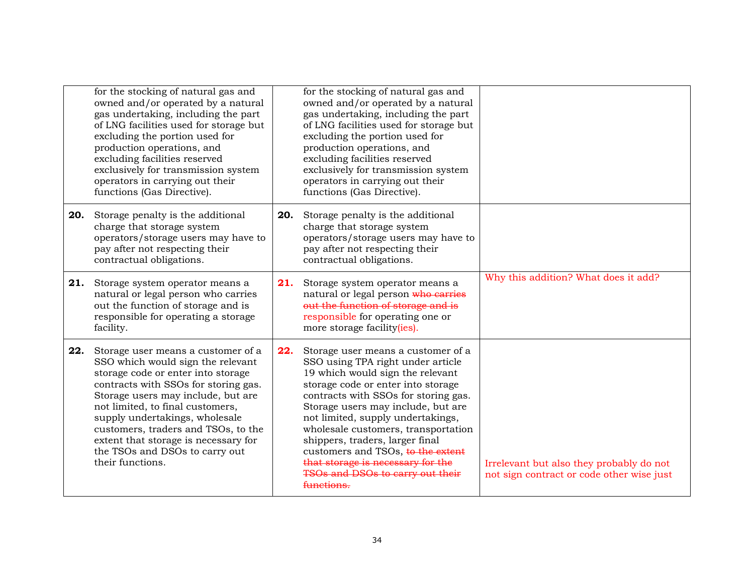|     | for the stocking of natural gas and<br>owned and/or operated by a natural<br>gas undertaking, including the part<br>of LNG facilities used for storage but<br>excluding the portion used for<br>production operations, and<br>excluding facilities reserved<br>exclusively for transmission system<br>operators in carrying out their<br>functions (Gas Directive).                                    |     | for the stocking of natural gas and<br>owned and/or operated by a natural<br>gas undertaking, including the part<br>of LNG facilities used for storage but<br>excluding the portion used for<br>production operations, and<br>excluding facilities reserved<br>exclusively for transmission system<br>operators in carrying out their<br>functions (Gas Directive).                                                                                                        |                                                                                       |
|-----|--------------------------------------------------------------------------------------------------------------------------------------------------------------------------------------------------------------------------------------------------------------------------------------------------------------------------------------------------------------------------------------------------------|-----|----------------------------------------------------------------------------------------------------------------------------------------------------------------------------------------------------------------------------------------------------------------------------------------------------------------------------------------------------------------------------------------------------------------------------------------------------------------------------|---------------------------------------------------------------------------------------|
| 20. | Storage penalty is the additional<br>charge that storage system<br>operators/storage users may have to<br>pay after not respecting their<br>contractual obligations.                                                                                                                                                                                                                                   | 20. | Storage penalty is the additional<br>charge that storage system<br>operators/storage users may have to<br>pay after not respecting their<br>contractual obligations.                                                                                                                                                                                                                                                                                                       |                                                                                       |
| 21. | Storage system operator means a<br>natural or legal person who carries<br>out the function of storage and is<br>responsible for operating a storage<br>facility.                                                                                                                                                                                                                                       | 21. | Storage system operator means a<br>natural or legal person who carries<br>out the function of storage and is<br>responsible for operating one or<br>more storage facility(ies).                                                                                                                                                                                                                                                                                            | Why this addition? What does it add?                                                  |
| 22. | Storage user means a customer of a<br>SSO which would sign the relevant<br>storage code or enter into storage<br>contracts with SSOs for storing gas.<br>Storage users may include, but are<br>not limited, to final customers,<br>supply undertakings, wholesale<br>customers, traders and TSOs, to the<br>extent that storage is necessary for<br>the TSOs and DSOs to carry out<br>their functions. | 22. | Storage user means a customer of a<br>SSO using TPA right under article<br>19 which would sign the relevant<br>storage code or enter into storage<br>contracts with SSOs for storing gas.<br>Storage users may include, but are<br>not limited, supply undertakings,<br>wholesale customers, transportation<br>shippers, traders, larger final<br>customers and TSOs, to the extent<br>that storage is necessary for the<br>TSOs and DSOs to carry out their<br>functions. | Irrelevant but also they probably do not<br>not sign contract or code other wise just |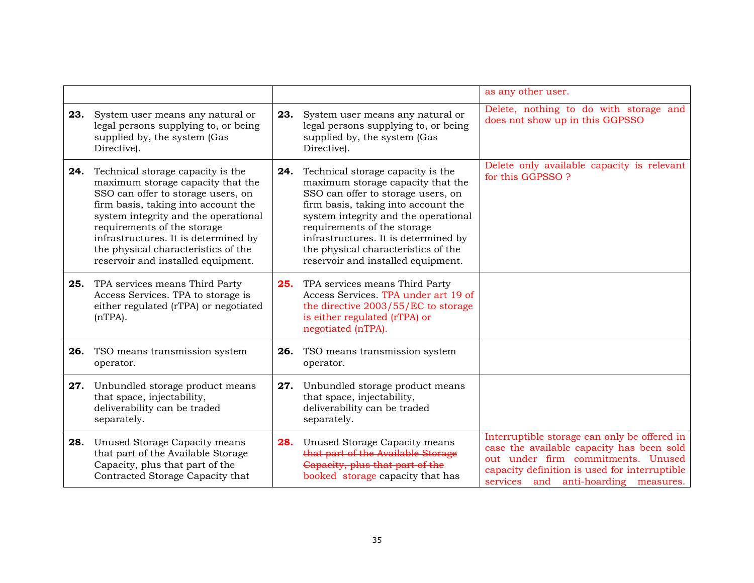|     |                                                                                                                                                                                                                                                                                                                                                 |     |                                                                                                                                                                                                                                                                                                                                                 | as any other user.                                                                                                                                                                                                       |
|-----|-------------------------------------------------------------------------------------------------------------------------------------------------------------------------------------------------------------------------------------------------------------------------------------------------------------------------------------------------|-----|-------------------------------------------------------------------------------------------------------------------------------------------------------------------------------------------------------------------------------------------------------------------------------------------------------------------------------------------------|--------------------------------------------------------------------------------------------------------------------------------------------------------------------------------------------------------------------------|
|     | 23. System user means any natural or<br>legal persons supplying to, or being<br>supplied by, the system (Gas<br>Directive).                                                                                                                                                                                                                     | 23. | System user means any natural or<br>legal persons supplying to, or being<br>supplied by, the system (Gas<br>Directive).                                                                                                                                                                                                                         | Delete, nothing to do with storage and<br>does not show up in this GGPSSO                                                                                                                                                |
| 24. | Technical storage capacity is the<br>maximum storage capacity that the<br>SSO can offer to storage users, on<br>firm basis, taking into account the<br>system integrity and the operational<br>requirements of the storage<br>infrastructures. It is determined by<br>the physical characteristics of the<br>reservoir and installed equipment. | 24. | Technical storage capacity is the<br>maximum storage capacity that the<br>SSO can offer to storage users, on<br>firm basis, taking into account the<br>system integrity and the operational<br>requirements of the storage<br>infrastructures. It is determined by<br>the physical characteristics of the<br>reservoir and installed equipment. | Delete only available capacity is relevant<br>for this GGPSSO ?                                                                                                                                                          |
| 25. | TPA services means Third Party<br>Access Services. TPA to storage is<br>either regulated (rTPA) or negotiated<br>$(nTPA)$ .                                                                                                                                                                                                                     | 25. | TPA services means Third Party<br>Access Services. TPA under art 19 of<br>the directive 2003/55/EC to storage<br>is either regulated (rTPA) or<br>negotiated (nTPA).                                                                                                                                                                            |                                                                                                                                                                                                                          |
|     | <b>26.</b> TSO means transmission system<br>operator.                                                                                                                                                                                                                                                                                           |     | 26. TSO means transmission system<br>operator.                                                                                                                                                                                                                                                                                                  |                                                                                                                                                                                                                          |
| 27. | Unbundled storage product means<br>that space, injectability,<br>deliverability can be traded<br>separately.                                                                                                                                                                                                                                    | 27. | Unbundled storage product means<br>that space, injectability,<br>deliverability can be traded<br>separately.                                                                                                                                                                                                                                    |                                                                                                                                                                                                                          |
| 28. | Unused Storage Capacity means<br>that part of the Available Storage<br>Capacity, plus that part of the<br>Contracted Storage Capacity that                                                                                                                                                                                                      | 28. | Unused Storage Capacity means<br>that part of the Available Storage<br>Capacity, plus that part of the<br>booked storage capacity that has                                                                                                                                                                                                      | Interruptible storage can only be offered in<br>case the available capacity has been sold<br>out under firm commitments. Unused<br>capacity definition is used for interruptible<br>services and anti-hoarding measures. |